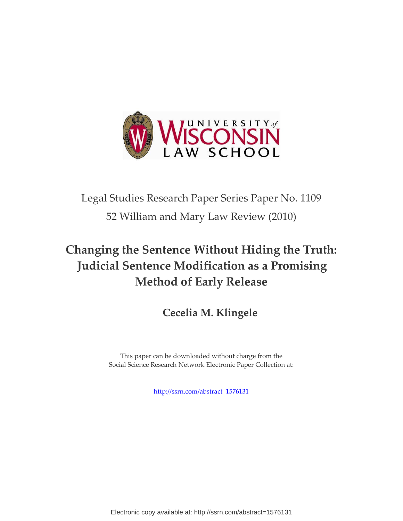

# Legal Studies Research Paper Series Paper No. 1109 52 William and Mary Law Review (2010)

## **Changing the Sentence Without Hiding the Truth: Judicial Sentence Modification as a Promising Method of Early Release**

## **Cecelia M. Klingele**

This paper can be downloaded without charge from the Social Science Research Network Electronic Paper Collection at:

[http://ssrn.com/abstract=1576131](http://ssrn.com/abstract=1441303)

Electronic copy available at: http://ssrn.com/abstract=1576131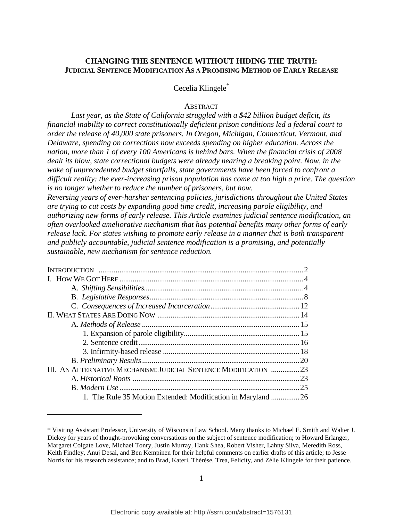## **CHANGING THE SENTENCE WITHOUT HIDING THE TRUTH: JUDICIAL SENTENCE MODIFICATION AS A PROMISING METHOD OF EARLY RELEASE**

## Cecelia Klingele\*

#### **ABSTRACT**

*Last year, as the State of California struggled with a \$42 billion budget deficit, its financial inability to correct constitutionally deficient prison conditions led a federal court to order the release of 40,000 state prisoners. In Oregon, Michigan, Connecticut, Vermont, and Delaware, spending on corrections now exceeds spending on higher education. Across the nation, more than 1 of every 100 Americans is behind bars. When the financial crisis of 2008 dealt its blow, state correctional budgets were already nearing a breaking point. Now, in the wake of unprecedented budget shortfalls, state governments have been forced to confront a difficult reality: the ever-increasing prison population has come at too high a price. The question is no longer whether to reduce the number of prisoners, but how.* 

*Reversing years of ever-harsher sentencing policies, jurisdictions throughout the United States are trying to cut costs by expanding good time credit, increasing parole eligibility, and authorizing new forms of early release. This Article examines judicial sentence modification, an often overlooked ameliorative mechanism that has potential benefits many other forms of early release lack. For states wishing to promote early release in a manner that is both transparent and publicly accountable, judicial sentence modification is a promising, and potentially sustainable, new mechanism for sentence reduction.* 

| III. AN ALTERNATIVE MECHANISM: JUDICIAL SENTENCE MODIFICATION 23 |    |
|------------------------------------------------------------------|----|
|                                                                  |    |
|                                                                  | 25 |
| 1. The Rule 35 Motion Extended: Modification in Maryland         | 26 |

<sup>\*</sup> Visiting Assistant Professor, University of Wisconsin Law School. Many thanks to Michael E. Smith and Walter J. Dickey for years of thought-provoking conversations on the subject of sentence modification; to Howard Erlanger, Margaret Colgate Love, Michael Tonry, Justin Murray, Hank Shea, Robert Visher, Lahny Silva, Meredith Ross, Keith Findley, Anuj Desai, and Ben Kempinen for their helpful comments on earlier drafts of this article; to Jesse Norris for his research assistance; and to Brad, Kateri, Thérèse, Trea, Felicity, and Zélie Klingele for their patience.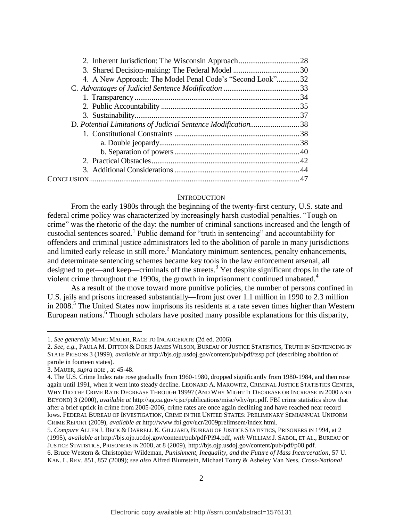| 4. A New Approach: The Model Penal Code's "Second Look"32    |  |
|--------------------------------------------------------------|--|
|                                                              |  |
|                                                              |  |
|                                                              |  |
|                                                              |  |
| D. Potential Limitations of Judicial Sentence Modification38 |  |
|                                                              |  |
|                                                              |  |
|                                                              |  |
|                                                              |  |
|                                                              |  |
|                                                              |  |
|                                                              |  |

#### **INTRODUCTION**

From the early 1980s through the beginning of the twenty-first century, U.S. state and federal crime policy was characterized by increasingly harsh custodial penalties. "Tough on crime" was the rhetoric of the day: the number of criminal sanctions increased and the length of custodial sentences soared.<sup>1</sup> Public demand for "truth in sentencing" and accountability for offenders and criminal justice administrators led to the abolition of parole in many jurisdictions and limited early release in still more.<sup>2</sup> Mandatory minimum sentences, penalty enhancements, and determinate sentencing schemes became key tools in the law enforcement arsenal, all designed to get—and keep—criminals off the streets.<sup>3</sup> Yet despite significant drops in the rate of violent crime throughout the 1990s, the growth in imprisonment continued unabated.<sup>4</sup>

As a result of the move toward more punitive policies, the number of persons confined in U.S. jails and prisons increased substantially—from just over 1.1 million in 1990 to 2.3 million in 2008.<sup>5</sup> The United States now imprisons its residents at a rate seven times higher than Western European nations.<sup>6</sup> Though scholars have posited many possible explanations for this disparity,

<sup>1.</sup> *See generally* MARC MAUER, RACE TO INCARCERATE (2d ed. 2006).

<sup>2.</sup> *See, e.g.*, PAULA M. DITTON & DORIS JAMES WILSON, BUREAU OF JUSTICE STATISTICS, TRUTH IN SENTENCING IN STATE PRISONS 3 (1999), *available at* http://bjs.ojp.usdoj.gov/content/pub/pdf/tssp.pdf (describing abolition of parole in fourteen states).

<sup>3.</sup> MAUER, *supra* note , at 45-48.

<sup>4.</sup> The U.S. Crime Index rate rose gradually from 1960-1980, dropped significantly from 1980-1984, and then rose again until 1991, when it went into steady decline. LEONARD A. MAROWITZ, CRIMINAL JUSTICE STATISTICS CENTER, WHY DID THE CRIME RATE DECREASE THROUGH 1999? (AND WHY MIGHT IT DECREASE OR INCREASE IN 2000 AND BEYOND) 3 (2000), *available at* http://ag.ca.gov/cjsc/publications/misc/why/rpt.pdf. FBI crime statistics show that after a brief uptick in crime from 2005-2006, crime rates are once again declining and have reached near record lows. FEDERAL BUREAU OF INVESTIGATION, CRIME IN THE UNITED STATES: PRELIMINARY SEMIANNUAL UNIFORM CRIME REPORT (2009), *available at* http://www.fbi.gov/ucr/2009prelimsem/index.html.

<sup>5.</sup> *Compare* ALLEN J. BECK & DARRELL K. GILLIARD, BUREAU OF JUSTICE STATISTICS, PRISONERS IN 1994, at 2 (1995), *available at* http://bjs.ojp.ucdoj.gov/content/pub/pdf/Pi94.pdf, *with* WILLIAM J. SABOL, ET AL., BUREAU OF JUSTICE STATISTICS, PRISONERS IN 2008, at 8 (2009), http://bjs.ojp.usdoj.gov/content/pub/pdf/p08.pdf.

<sup>6.</sup> Bruce Western & Christopher Wildeman, *Punishment, Inequality, and the Future of Mass Incarceration*, 57 U. KAN. L. REV. 851, 857 (2009); *see also* Alfred Blumstein, Michael Tonry & Asheley Van Ness, *Cross-National*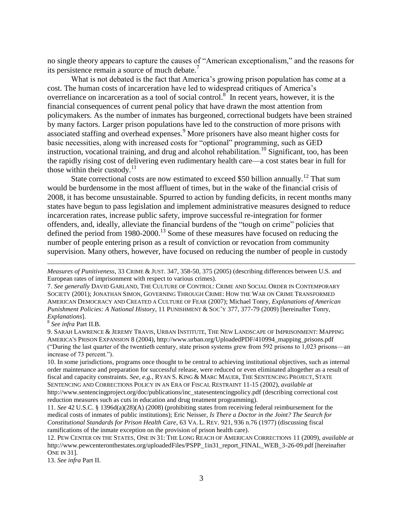no single theory appears to capture the causes of "American exceptionalism," and the reasons for its persistence remain a source of much debate.<sup>7</sup>

What is not debated is the fact that America's growing prison population has come at a cost. The human costs of incarceration have led to widespread critiques of America"s overreliance on incarceration as a tool of social control.<sup>8</sup> In recent years, however, it is the financial consequences of current penal policy that have drawn the most attention from policymakers. As the number of inmates has burgeoned, correctional budgets have been strained by many factors. Larger prison populations have led to the construction of more prisons with associated staffing and overhead expenses.<sup>9</sup> More prisoners have also meant higher costs for basic necessities, along with increased costs for "optional" programming, such as GED instruction, vocational training, and drug and alcohol rehabilitation.<sup>10</sup> Significant, too, has been the rapidly rising cost of delivering even rudimentary health care—a cost states bear in full for those within their custody. $11$ 

State correctional costs are now estimated to exceed \$50 billion annually.<sup>12</sup> That sum would be burdensome in the most affluent of times, but in the wake of the financial crisis of 2008, it has become unsustainable. Spurred to action by funding deficits, in recent months many states have begun to pass legislation and implement administrative measures designed to reduce incarceration rates, increase public safety, improve successful re-integration for former offenders, and, ideally, alleviate the financial burdens of the "tough on crime" policies that defined the period from 1980-2000.<sup>13</sup> Some of these measures have focused on reducing the number of people entering prison as a result of conviction or revocation from community supervision. Many others, however, have focused on reducing the number of people in custody

7. *See generally* DAVID GARLAND, THE CULTURE OF CONTROL: CRIME AND SOCIAL ORDER IN CONTEMPORARY SOCIETY (2001); JONATHAN SIMON, GOVERNING THROUGH CRIME: HOW THE WAR ON CRIME TRANSFORMED AMERICAN DEMOCRACY AND CREATED A CULTURE OF FEAR (2007); Michael Tonry, *Explanations of American Punishment Policies: A National History*, 11 PUNISHMENT & SOC"Y 377, 377-79 (2009) [hereinafter Tonry, *Explanations*].

8 *See infra* Part II.B.

 $\overline{a}$ 

13. *See infra* Part II.

*Measures of Punitiveness*, 33 CRIME & JUST. 347, 358-50, 375 (2005) (describing differences between U.S. and European rates of imprisonment with respect to various crimes).

<sup>9.</sup> SARAH LAWRENCE & JEREMY TRAVIS, URBAN INSTITUTE, THE NEW LANDSCAPE OF IMPRISONMENT: MAPPING AMERICA'S PRISON EXPANSION 8 (2004), http://www.urban.org/UploadedPDF/410994\_mapping\_prisons.pdf ("During the last quarter of the twentieth century, state prison systems grew from 592 prisons to 1,023 prisons—an increase of 73 percent.").

<sup>10.</sup> In some jurisdictions, programs once thought to be central to achieving institutional objectives, such as internal order maintenance and preparation for successful release, were reduced or even eliminated altogether as a result of fiscal and capacity constraints. *See, e.g.*, RYAN S. KING & MARC MAUER, THE SENTENCING PROJECT, STATE SENTENCING AND CORRECTIONS POLICY IN AN ERA OF FISCAL RESTRAINT 11-15 (2002), *available at* http://www.sentencingproject.org/doc/publications/inc\_statesentencingpolicy.pdf (describing correctional cost reduction measures such as cuts in education and drug treatment programming).

<sup>11.</sup> *See* 42 U.S.C. § 1396d(a)(28)(A) (2008) (prohibiting states from receiving federal reimbursement for the medical costs of inmates of public institutions); Eric Neisser, *Is There a Doctor in the Joint? The Search for Constitutional Standards for Prison Health Care*, 63 VA. L. REV. 921, 936 n.76 (1977) (discussing fiscal ramifications of the inmate exception on the provision of prison health care).

<sup>12.</sup> PEW CENTER ON THE STATES, ONE IN 31: THE LONG REACH OF AMERICAN CORRECTIONS 11 (2009), *available at* http://www.pewcenteronthestates.org/uploadedFiles/PSPP\_1in31\_report\_FINAL\_WEB\_3-26-09.pdf [hereinafter ONE IN 31].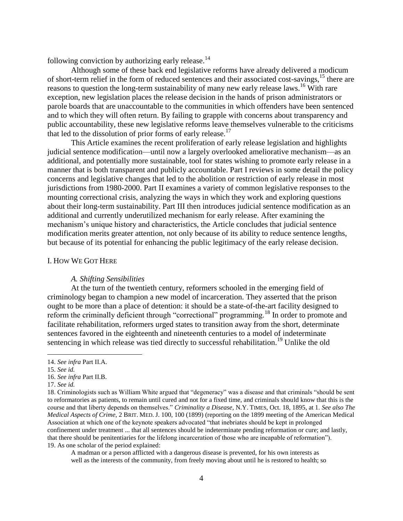following conviction by authorizing early release. $^{14}$ 

Although some of these back end legislative reforms have already delivered a modicum of short-term relief in the form of reduced sentences and their associated cost-savings,<sup>15</sup> there are reasons to question the long-term sustainability of many new early release laws.<sup>16</sup> With rare exception, new legislation places the release decision in the hands of prison administrators or parole boards that are unaccountable to the communities in which offenders have been sentenced and to which they will often return. By failing to grapple with concerns about transparency and public accountability, these new legislative reforms leave themselves vulnerable to the criticisms that led to the dissolution of prior forms of early release.<sup>17</sup>

This Article examines the recent proliferation of early release legislation and highlights judicial sentence modification—until now a largely overlooked ameliorative mechanism—as an additional, and potentially more sustainable, tool for states wishing to promote early release in a manner that is both transparent and publicly accountable. Part I reviews in some detail the policy concerns and legislative changes that led to the abolition or restriction of early release in most jurisdictions from 1980-2000. Part II examines a variety of common legislative responses to the mounting correctional crisis, analyzing the ways in which they work and exploring questions about their long-term sustainability. Part III then introduces judicial sentence modification as an additional and currently underutilized mechanism for early release. After examining the mechanism"s unique history and characteristics, the Article concludes that judicial sentence modification merits greater attention, not only because of its ability to reduce sentence lengths, but because of its potential for enhancing the public legitimacy of the early release decision.

#### I. HOW WE GOT HERE

#### *A. Shifting Sensibilities*

At the turn of the twentieth century, reformers schooled in the emerging field of criminology began to champion a new model of incarceration. They asserted that the prison ought to be more than a place of detention: it should be a state-of-the-art facility designed to reform the criminally deficient through "correctional" programming.<sup>18</sup> In order to promote and facilitate rehabilitation, reformers urged states to transition away from the short, determinate sentences favored in the eighteenth and nineteenth centuries to a model of indeterminate sentencing in which release was tied directly to successful rehabilitation.<sup>19</sup> Unlike the old

 $\overline{a}$ 

A madman or a person afflicted with a dangerous disease is prevented, for his own interests as well as the interests of the community, from freely moving about until he is restored to health; so

<sup>14.</sup> *See infra* Part II.A.

<sup>15.</sup> *See id.*

<sup>16.</sup> *See infra* Part II.B.

<sup>17.</sup> *See id.*

<sup>18.</sup> Criminologists such as William White argued that "degeneracy" was a disease and that criminals "should be sent to reformatories as patients, to remain until cured and not for a fixed time, and criminals should know that this is the course and that liberty depends on themselves." *Criminality a Disease*, N.Y. TIMES, Oct. 18, 1895, at 1. *See also The Medical Aspects of Crime*, 2 BRIT. MED. J. 100, 100 (1899) (reporting on the 1899 meeting of the American Medical Association at which one of the keynote speakers advocated "that inebriates should be kept in prolonged confinement under treatment ... that all sentences should be indeterminate pending reformation or cure; and lastly, that there should be penitentiaries for the lifelong incarceration of those who are incapable of reformation"). 19. As one scholar of the period explained: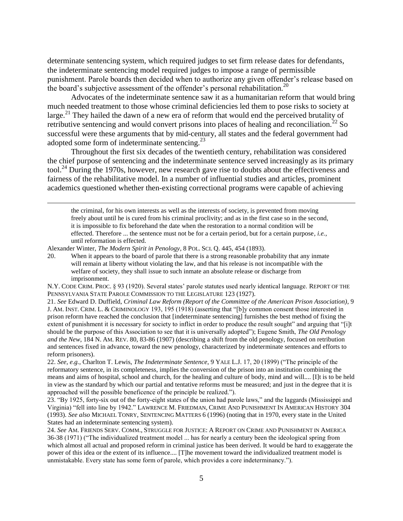determinate sentencing system, which required judges to set firm release dates for defendants, the indeterminate sentencing model required judges to impose a range of permissible punishment. Parole boards then decided when to authorize any given offender"s release based on the board's subjective assessment of the offender's personal rehabilitation.<sup>20</sup>

Advocates of the indeterminate sentence saw it as a humanitarian reform that would bring much needed treatment to those whose criminal deficiencies led them to pose risks to society at large.<sup>21</sup> They hailed the dawn of a new era of reform that would end the perceived brutality of retributive sentencing and would convert prisons into places of healing and reconciliation.<sup>22</sup> So successful were these arguments that by mid-century, all states and the federal government had adopted some form of indeterminate sentencing. $^{23}$ 

Throughout the first six decades of the twentieth century, rehabilitation was considered the chief purpose of sentencing and the indeterminate sentence served increasingly as its primary tool.<sup>24</sup> During the 1970s, however, new research gave rise to doubts about the effectiveness and fairness of the rehabilitative model. In a number of influential studies and articles, prominent academics questioned whether then-existing correctional programs were capable of achieving

the criminal, for his own interests as well as the interests of society, is prevented from moving freely about until he is cured from his criminal proclivity; and as in the first case so in the second, it is impossible to fix beforehand the date when the restoration to a normal condition will be effected. Therefore ... the sentence must not be for a certain period, but for a certain purpose*, i.e.*, until reformation is effected.

Alexander Winter, *The Modern Spirit in Penology*, 8 POL. SCI. Q. 445, 454 (1893).

 $\overline{a}$ 

20. When it appears to the board of parole that there is a strong reasonable probability that any inmate will remain at liberty without violating the law, and that his release is not incompatible with the welfare of society, they shall issue to such inmate an absolute release or discharge from imprisonment.

21. *See* Edward D. Duffield, *Criminal Law Reform (Report of the Committee of the American Prison Association)*, 9 J. AM. INST. CRIM. L. & CRIMINOLOGY 193, 195 (1918) (asserting that "[b]y common consent those interested in prison reform have reached the conclusion that [indeterminate sentencing] furnishes the best method of fixing the extent of punishment it is necessary for society to inflict in order to produce the result sought" and arguing that "[i]t should be the purpose of this Association to see that it is universally adopted"); Eugene Smith, *The Old Penology and the New*, 184 N. AM. REV. 80, 83-86 (1907) (describing a shift from the old penology, focused on retribution and sentences fixed in advance, toward the new penology, characterized by indeterminate sentences and efforts to reform prisoners).

22. *See, e.g.*, Charlton T. Lewis, *The Indeterminate Sentence*, 9 YALE L.J. 17, 20 (1899) ("The principle of the reformatory sentence, in its completeness, implies the conversion of the prison into an institution combining the means and aims of hospital, school and church, for the healing and culture of body, mind and will.... [I]t is to be held in view as the standard by which our partial and tentative reforms must be measured; and just in the degree that it is approached will the possible beneficence of the principle be realized.").

23. "By 1925, forty-six out of the forty-eight states of the union had parole laws," and the laggards (Mississippi and Virginia) "fell into line by 1942." LAWRENCE M. FRIEDMAN, CRIME AND PUNISHMENT IN AMERICAN HISTORY 304 (1993). *See also* MICHAEL TONRY, SENTENCING MATTERS 6 (1996) (noting that in 1970, every state in the United States had an indeterminate sentencing system).

24. *See* AM. FRIENDS SERV. COMM., STRUGGLE FOR JUSTICE: A REPORT ON CRIME AND PUNISHMENT IN AMERICA 36-38 (1971) ("The individualized treatment model ... has for nearly a century been the ideological spring from which almost all actual and proposed reform in criminal justice has been derived. It would be hard to exaggerate the power of this idea or the extent of its influence.... [T]he movement toward the individualized treatment model is unmistakable. Every state has some form of parole, which provides a core indeterminancy.").

N.Y. CODE CRIM. PROC. § 93 (1920). Several states" parole statutes used nearly identical language. REPORT OF THE PENNSYLVANIA STATE PAROLE COMMISSION TO THE LEGISLATURE 123 (1927).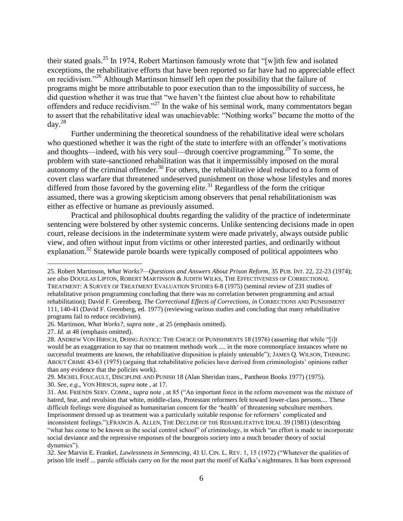their stated goals.<sup>25</sup> In 1974, Robert Martinson famously wrote that "[w]ith few and isolated exceptions, the rehabilitative efforts that have been reported so far have had no appreciable effect on recidivism."<sup>26</sup> Although Martinson himself left open the possibility that the failure of programs might be more attributable to poor execution than to the impossibility of success, he did question whether it was true that "we haven"t the faintest clue about how to rehabilitate offenders and reduce recidivism."<sup>27</sup> In the wake of his seminal work, many commentators began to assert that the rehabilitative ideal was unachievable: "Nothing works" became the motto of the  $\text{day.}^{28}$ 

Further undermining the theoretical soundness of the rehabilitative ideal were scholars who questioned whether it was the right of the state to interfere with an offender's motivations and thoughts—indeed, with his very soul—through coercive programming.<sup>29</sup> To some, the problem with state-sanctioned rehabilitation was that it impermissibly imposed on the moral autonomy of the criminal offender.<sup>30</sup> For others, the rehabilitative ideal reduced to a form of covert class warfare that threatened undeserved punishment on those whose lifestyles and mores differed from those favored by the governing elite.<sup>31</sup> Regardless of the form the critique assumed, there was a growing skepticism among observers that penal rehabilitationism was either as effective or humane as previously assumed.

Practical and philosophical doubts regarding the validity of the practice of indeterminate sentencing were bolstered by other systemic concerns. Unlike sentencing decisions made in open court, release decisions in the indeterminate system were made privately, always outside public view, and often without input from victims or other interested parties, and ordinarily without explanation.<sup>32</sup> Statewide parole boards were typically composed of political appointees who

<sup>25.</sup> Robert Martinson, *What Works?—Questions and Answers About Prison Reform*, 35 PUB. INT. 22, 22-23 (1974); *see also* DOUGLAS LIPTON, ROBERT MARTINSON & JUDITH WILKS, THE EFFECTIVENESS OF CORRECTIONAL TREATMENT: A SURVEY OF TREATMENT EVALUATION STUDIES 6-8 (1975) (seminal review of 231 studies of rehabilitative prison programming concluding that there was no correlation between programming and actual rehabilitation); David F. Greenberg, *The Correctional Effects of Corrections*, *in* CORRECTIONS AND PUNISHMENT 111, 140-41 (David F. Greenberg, ed. 1977) (reviewing various studies and concluding that many rehabilitative programs fail to reduce recidivism).

<sup>26.</sup> Martinson, *What Works?*, *supra* note , at 25 (emphasis omitted).

<sup>27.</sup> *Id.* at 48 (emphasis omitted).

<sup>28.</sup> ANDREW VON HIRSCH, DOING JUSTICE: THE CHOICE OF PUNISHMENTS 18 (1976) (asserting that while "[i]t would be an exaggeration to say that no treatment methods work .... in the more commonplace instances where no successful treatments are known, the rehabilitative disposition is plainly untenable"); JAMES Q. WILSON, THINKING ABOUT CRIME 43-63 (1975) (arguing that rehabilitative policies have derived from criminologists" opinions rather than any evidence that the policies work).

<sup>29.</sup> MICHEL FOUCAULT, DISCIPLINE AND PUNISH 18 (Alan Sheridan trans., Pantheon Books 1977) (1975). 30. *See, e.g.*, VON HIRSCH, *supra* note , at 17.

<sup>31.</sup> AM. FRIENDS SERV. COMM., *supra* note , at 85 ("An important force in the reform movement was the mixture of hatred, fear, and revulsion that white, middle-class, Protestant reformers felt toward lower-class persons.... These difficult feelings were disguised as humanitarian concern for the "health" of threatening subculture members. Imprisonment dressed up as treatment was a particularly suitable response for reformers" complicated and inconsistent feelings.");FRANCIS A. ALLEN, THE DECLINE OF THE REHABILITATIVE IDEAL 39 (1981) (describing "what has come to be known as the social control school" of criminology, in which "an effort is made to incorporate social deviance and the repressive responses of the bourgeois society into a much broader theory of social dynamics").

<sup>32.</sup> *See* Marvin E. Frankel, *Lawlessness in Sentencing*, 41 U. CIN. L. REV. 1, 15 (1972) ("Whatever the qualities of prison life itself ... parole officials carry on for the most part the motif of Kafka"s nightmares. It has been expressed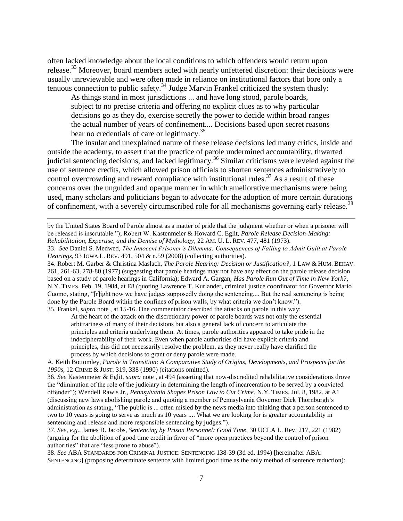often lacked knowledge about the local conditions to which offenders would return upon release.<sup>33</sup> Moreover, board members acted with nearly unfettered discretion: their decisions were usually unreviewable and were often made in reliance on institutional factors that bore only a tenuous connection to public safety.<sup>34</sup> Judge Marvin Frankel criticized the system thusly:

As things stand in most jurisdictions ... and have long stood, parole boards, subject to no precise criteria and offering no explicit clues as to why particular decisions go as they do, exercise secretly the power to decide within broad ranges the actual number of years of confinement.... Decisions based upon secret reasons bear no credentials of care or legitimacy.<sup>35</sup>

The insular and unexplained nature of these release decisions led many critics, inside and outside the academy, to assert that the practice of parole undermined accountability, thwarted judicial sentencing decisions, and lacked legitimacy.<sup>36</sup> Similar criticisms were leveled against the use of sentence credits, which allowed prison officials to shorten sentences administratively to control overcrowding and reward compliance with institutional rules.<sup>37</sup> As a result of these concerns over the unguided and opaque manner in which ameliorative mechanisms were being used, many scholars and politicians began to advocate for the adoption of more certain durations of confinement, with a severely circumscribed role for all mechanisms governing early release.<sup>38</sup>

by the United States Board of Parole almost as a matter of pride that the judgment whether or when a prisoner will be released is inscrutable."); Robert W. Kastenmeier & Howard C. Eglit, *Parole Release Decision-Making: Rehabilitation, Expertise, and the Demise of Mythology*, 22 AM. U. L. REV. 477, 481 (1973).

 $\overline{a}$ 

34. Robert M. Garber & Christina Maslach, *The Parole Hearing: Decision or Justification?*, 1 LAW & HUM. BEHAV. 261, 261-63, 278-80 (1977) (suggesting that parole hearings may not have any effect on the parole release decision based on a study of parole hearings in California); Edward A. Gargan, *Has Parole Run Out of Time in New York?*, N.Y. TIMES, Feb. 19, 1984, at E8 (quoting Lawrence T. Kurlander, criminal justice coordinator for Governor Mario Cuomo, stating, "[r]ight now we have judges supposedly doing the sentencing.... But the real sentencing is being done by the Parole Board within the confines of prison walls, by what criteria we don"t know."). 35. Frankel, *supra* note , at 15-16. One commentator described the attacks on parole in this way:

At the heart of the attack on the discretionary power of parole boards was not only the essential arbitrariness of many of their decisions but also a general lack of concern to articulate the principles and criteria underlying them. At times, parole authorities appeared to take pride in the indecipherability of their work. Even when parole authorities did have explicit criteria and principles, this did not necessarily resolve the problem, as they never really have clarified the process by which decisions to grant or deny parole were made.

A. Keith Bottomley, *Parole in Transition: A Comparative Study of Origins, Developments, and Prospects for the 1990s*, 12 CRIME & JUST. 319, 338 (1990) (citations omitted).

36. *See* Kastenmeier & Eglit, *supra* note , at 494 (asserting that now-discredited rehabilitative considerations drove the "diminution of the role of the judiciary in determining the length of incarceration to be served by a convicted offender"); Wendell Rawls Jr., *Pennsylvania Shapes Prison Law to Cut Crime*, N.Y. TIMES, Jul. 8, 1982, at A1 (discussing new laws abolishing parole and quoting a member of Pennsylvania Governor Dick Thornburgh"s administration as stating, "The public is ... often misled by the news media into thinking that a person sentenced to two to 10 years is going to serve as much as 10 years .... What we are looking for is greater accountability in sentencing and release and more responsible sentencing by judges.").

37. *See, e.g.*, James B. Jacobs, *Sentencing by Prison Personnel: Good Time*, 30 UCLA L. Rev. 217, 221 (1982) (arguing for the abolition of good time credit in favor of "more open practices beyond the control of prison authorities" that are "less prone to abuse").

38. *See* ABA STANDARDS FOR CRIMINAL JUSTICE: SENTENCING 138-39 (3d ed. 1994) [hereinafter ABA: SENTENCING] (proposing determinate sentence with limited good time as the only method of sentence reduction);

<sup>33.</sup> *See* Daniel S. Medwed, *The Innocent Prisoner"s Dilemma: Consequences of Failing to Admit Guilt at Parole Hearings*, 93 IOWA L. REV. 491, 504 & n.59 (2008) (collecting authorities).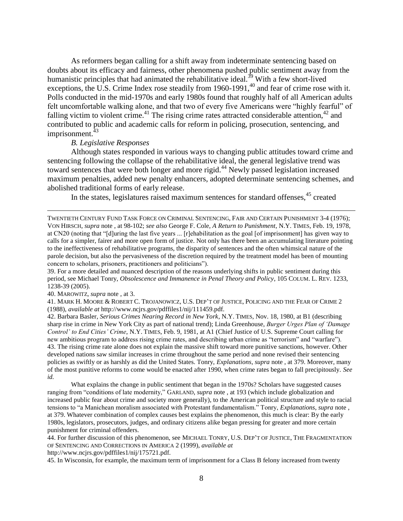As reformers began calling for a shift away from indeterminate sentencing based on doubts about its efficacy and fairness, other phenomena pushed public sentiment away from the humanistic principles that had animated the rehabilitative ideal.<sup>39</sup> With a few short-lived exceptions, the U.S. Crime Index rose steadily from 1960-1991,<sup>40</sup> and fear of crime rose with it. Polls conducted in the mid-1970s and early 1980s found that roughly half of all American adults felt uncomfortable walking alone, and that two of every five Americans were "highly fearful" of falling victim to violent crime.<sup>41</sup> The rising crime rates attracted considerable attention,<sup>42</sup> and contributed to public and academic calls for reform in policing, prosecution, sentencing, and imprisonment. $43$ 

#### *B. Legislative Responses*

Although states responded in various ways to changing public attitudes toward crime and sentencing following the collapse of the rehabilitative ideal, the general legislative trend was toward sentences that were both longer and more rigid.<sup>44</sup> Newly passed legislation increased maximum penalties, added new penalty enhancers, adopted determinate sentencing schemes, and abolished traditional forms of early release.

In the states, legislatures raised maximum sentences for standard offenses, $45$  created

39. For a more detailed and nuanced description of the reasons underlying shifts in public sentiment during this period, see Michael Tonry, *Obsolescence and Immanence in Penal Theory and Policy*, 105 COLUM. L. REV. 1233, 1238-39 (2005).

40. MAROWITZ, *supra* note , at 3.

 $\overline{a}$ 

41. MARK H. MOORE & ROBERT C. TROJANOWICZ, U.S. DEP"T OF JUSTICE, POLICING AND THE FEAR OF CRIME 2 (1988), *available at* http://www.ncjrs.gov/pdffiles1/nij/111459.pdf.

42. Barbara Basler, *Serious Crimes Nearing Record in New York*, N.Y. TIMES, Nov. 18, 1980, at B1 (describing sharp rise in crime in New York City as part of national trend); Linda Greenhouse, *Burger Urges Plan of "Damage Control" to End Cities" Crime*, N.Y. TIMES, Feb. 9, 1981, at A1 (Chief Justice of U.S. Supreme Court calling for new ambitious program to address rising crime rates, and describing urban crime as "terrorism" and "warfare"). 43. The rising crime rate alone does not explain the massive shift toward more punitive sanctions, however. Other developed nations saw similar increases in crime throughout the same period and none revised their sentencing policies as swiftly or as harshly as did the United States. Tonry, *Explanations*, *supra* note , at 379. Moreover, many of the most punitive reforms to come would be enacted after 1990, when crime rates began to fall precipitously. *See id.*

What explains the change in public sentiment that began in the 1970s? Scholars have suggested causes ranging from "conditions of late modernity," GARLAND, *supra* note , at 193 (which include globalization and increased public fear about crime and society more generally), to the American political structure and style to racial tensions to "a Manichean moralism associated with Protestant fundamentalism." Tonry, *Explanations*, *supra* note , at 379. Whatever combination of complex causes best explains the phenomenon, this much is clear: By the early 1980s, legislators, prosecutors, judges, and ordinary citizens alike began pressing for greater and more certain punishment for criminal offenders.

44. For further discussion of this phenomenon, see MICHAEL TONRY, U.S. DEP"T OF JUSTICE, THE FRAGMENTATION OF SENTENCING AND CORRECTIONS IN AMERICA 2 (1999), *available at* 

http://www.ncjrs.gov/pdffiles1/nij/175721.pdf.

45. In Wisconsin, for example, the maximum term of imprisonment for a Class B felony increased from twenty

TWENTIETH CENTURY FUND TASK FORCE ON CRIMINAL SENTENCING, FAIR AND CERTAIN PUNISHMENT 3-4 (1976); VON HIRSCH, *supra* note , at 98-102; *see also* George F. Cole, *A Return to Punishment*, N.Y. TIMES, Feb. 19, 1978, at CN20 (noting that "[d]uring the last five years ... [r]ehabilitation as the goal [of imprisonment] has given way to calls for a simpler, fairer and more open form of justice. Not only has there been an accumulating literature pointing to the ineffectiveness of rehabilitative programs, the disparity of sentences and the often whimsical nature of the parole decision, but also the pervasiveness of the discretion required by the treatment model has been of mounting concern to scholars, prisoners, practitioners and politicians").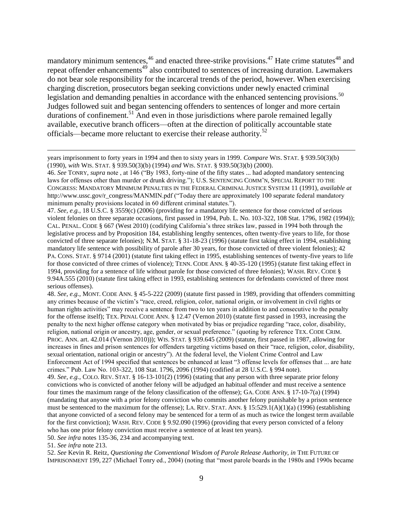mandatory minimum sentences,  $46$  and enacted three-strike provisions.  $47$  Hate crime statutes  $48$  and repeat offender enhancements<sup>49</sup> also contributed to sentences of increasing duration. Lawmakers do not bear sole responsibility for the incarceral trends of the period, however. When exercising charging discretion, prosecutors began seeking convictions under newly enacted criminal legislation and demanding penalties in accordance with the enhanced sentencing provisions.<sup>50</sup> Judges followed suit and began sentencing offenders to sentences of longer and more certain durations of confinement.<sup>51</sup> And even in those jurisdictions where parole remained legally available, executive branch officers—often at the direction of politically accountable state officials—became more reluctant to exercise their release authority.<sup>52</sup>

46. *See* TONRY, *supra* note , at 146 ("By 1983, forty-nine of the fifty states ... had adopted mandatory sentencing laws for offenses other than murder or drunk driving."); U.S. SENTENCING COMM"N, SPECIAL REPORT TO THE CONGRESS: MANDATORY MINIMUM PENALTIES IN THE FEDERAL CRIMINAL JUSTICE SYSTEM 11 (1991), *available at* http://www.ussc.gov/r\_congress/MANMIN.pdf ("Today there are approximately 100 separate federal mandatory minimum penalty provisions located in 60 different criminal statutes.").

47. *See, e.g.*, 18 U.S.C. § 3559(c) (2006) (providing for a mandatory life sentence for those convicted of serious violent felonies on three separate occasions, first passed in 1994, Pub. L. No. 103-322, 108 Stat. 1796, 1982 (1994)); CAL. PENAL. CODE § 667 (West 2010) (codifying California"s three strikes law, passed in 1994 both through the legislative process and by Proposition 184, establishing lengthy sentences, often twenty-five years to life, for those convicted of three separate felonies); N.M. STAT. § 31-18-23 (1996) (statute first taking effect in 1994, establishing mandatory life sentence with possibility of parole after 30 years, for those convicted of three violent felonies); 42 PA. CONS. STAT. § 9714 (2001) (statute first taking effect in 1995, establishing sentences of twenty-five years to life for those convicted of three crimes of violence); TENN. CODE ANN. § 40-35-120 (1995) (statute first taking effect in 1994, providing for a sentence of life without parole for those convicted of three felonies); WASH. REV. CODE § 9.94A.555 (2010) (statute first taking effect in 1993, establishing sentences for defendants convicted of three most serious offenses).

48. *See, e.g.*, MONT. CODE ANN. § 45-5-222 (2009) (statute first passed in 1989, providing that offenders committing any crimes because of the victim"s "race, creed, religion, color, national origin, or involvement in civil rights or human rights activities" may receive a sentence from two to ten years in addition to and consecutive to the penalty for the offense itself); TEX. PENAL CODE ANN. § 12.47 (Vernon 2010) (statute first passed in 1993, increasing the penalty to the next higher offense category when motivated by bias or prejudice regarding "race, color, disability, religion, national origin or ancestry, age, gender, or sexual preference." (quoting by reference TEX. CODE CRIM. PROC. ANN. art. 42.014 (Vernon 2010))); WIS. STAT. § 939.645 (2009) (statute, first passed in 1987, allowing for increases in fines and prison sentences for offenders targeting victims based on their "race, religion, color, disability, sexual orientation, national origin or ancestry"). At the federal level, the Violent Crime Control and Law Enforcement Act of 1994 specified that sentences be enhanced at least "3 offense levels for offenses that ... are hate crimes." Pub. Law No. 103-322, 108 Stat. 1796, 2096 (1994) (codified at 28 U.S.C. § 994 note). 49. *See, e.g.*, COLO. REV. STAT. § 16-13-101(2) (1996) (stating that any person with three separate prior felony convictions who is convicted of another felony will be adjudged an habitual offender and must receive a sentence four times the maximum range of the felony classification of the offense); GA. CODE ANN. § 17-10-7(a) (1994) (mandating that anyone with a prior felony conviction who commits another felony punishable by a prison sentence

must be sentenced to the maximum for the offense); LA. REV. STAT. ANN. § 15:529.1(A)(1)(a) (1996) (establishing that anyone convicted of a second felony may be sentenced for a term of as much as twice the longest term available for the first conviction); WASH. REV. CODE § 9.92.090 (1996) (providing that every person convicted of a felony who has one prior felony conviction must receive a sentence of at least ten years).

50. *See infra* notes 135-36, 234 and accompanying text.

51. *See infra* note 213.

 $\overline{a}$ 

52. *See* Kevin R. Reitz, *Questioning the Conventional Wisdom of Parole Release Authority, in* THE FUTURE OF IMPRISONMENT 199, 227 (Michael Tonry ed., 2004) (noting that "most parole boards in the 1980s and 1990s became

years imprisonment to forty years in 1994 and then to sixty years in 1999. *Compare* WIS. STAT. § 939.50(3)(b) (1990), *with* WIS. STAT. § 939.50(3)(b) (1994) *and* WIS. STAT. § 939.50(3)(b) (2000).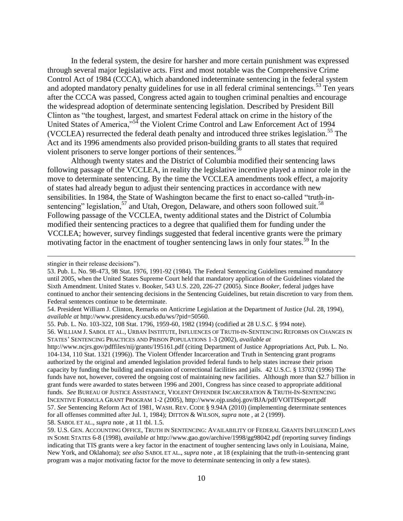In the federal system, the desire for harsher and more certain punishment was expressed through several major legislative acts. First and most notable was the Comprehensive Crime Control Act of 1984 (CCCA), which abandoned indeterminate sentencing in the federal system and adopted mandatory penalty guidelines for use in all federal criminal sentencings.<sup>53</sup> Ten years after the CCCA was passed, Congress acted again to toughen criminal penalties and encourage the widespread adoption of determinate sentencing legislation. Described by President Bill Clinton as "the toughest, largest, and smartest Federal attack on crime in the history of the United States of America,"<sup>54</sup> the Violent Crime Control and Law Enforcement Act of 1994 (VCCLEA) resurrected the federal death penalty and introduced three strikes legislation.<sup>55</sup> The Act and its 1996 amendments also provided prison-building grants to all states that required violent prisoners to serve longer portions of their sentences.<sup>56</sup>

Although twenty states and the District of Columbia modified their sentencing laws following passage of the VCCLEA, in reality the legislative incentive played a minor role in the move to determinate sentencing. By the time the VCCLEA amendments took effect, a majority of states had already begun to adjust their sentencing practices in accordance with new sensibilities. In 1984, the State of Washington became the first to enact so-called "truth-insentencing" legislation,  $57$  and Utah, Oregon, Delaware, and others soon followed suit.<sup>58</sup> Following passage of the VCCLEA, twenty additional states and the District of Columbia modified their sentencing practices to a degree that qualified them for funding under the VCCLEA; however, survey findings suggested that federal incentive grants were the primary motivating factor in the enactment of tougher sentencing laws in only four states.<sup>59</sup> In the

stingier in their release decisions").

<sup>53.</sup> Pub. L. No. 98-473, 98 Stat. 1976, 1991-92 (1984). The Federal Sentencing Guidelines remained mandatory until 2005, when the United States Supreme Court held that mandatory application of the Guidelines violated the Sixth Amendment. United States v. Booker, 543 U.S. 220, 226-27 (2005). Since *Booker*, federal judges have continued to anchor their sentencing decisions in the Sentencing Guidelines, but retain discretion to vary from them. Federal sentences continue to be determinate.

<sup>54.</sup> President William J. Clinton, Remarks on Anticrime Legislation at the Department of Justice (Jul. 28, 1994), *available at* http://www.presidency.ucsb.edu/ws/?pid=50560.

<sup>55.</sup> Pub. L. No. 103-322, 108 Stat. 1796, 1959-60, 1982 (1994) (codified at 28 U.S.C. § 994 note).

<sup>56.</sup> WILLIAM J. SABOL ET AL., URBAN INSTITUTE, INFLUENCES OF TRUTH-IN-SENTENCING REFORMS ON CHANGES IN STATES" SENTENCING PRACTICES AND PRISON POPULATIONS 1-3 (2002), *available at*

http://www.ncjrs.gov/pdffiles/nij/grants/195161.pdf (citing Department of Justice Appropriations Act, Pub. L. No. 104-134, 110 Stat. 1321 (1996)). The Violent Offender Incarceration and Truth in Sentencing grant programs authorized by the original and amended legislation provided federal funds to help states increase their prison capacity by funding the building and expansion of correctional facilities and jails. 42 U.S.C. § 13702 (1996) The funds have not, however, covered the ongoing cost of maintaining new facilities. Although more than \$2.7 billion in grant funds were awarded to states between 1996 and 2001, Congress has since ceased to appropriate additional funds. *See* BUREAU OF JUSTICE ASSISTANCE, VIOLENT OFFENDER INCARCERATION & TRUTH-IN-SENTENCING INCENTIVE FORMULA GRANT PROGRAM 1-2 (2005), http://www.ojp.usdoj.gov/BJA/pdf/VOITISreport.pdf 57. *See* Sentencing Reform Act of 1981, WASH. REV. CODE § 9.94A (2010) (implementing determinate sentences for all offenses committed after Jul. 1, 1984); DITTON & WILSON, *supra* note , at 2 (1999). 58. SABOL ET AL., *supra* note , at 11 tbl. 1.5.

<sup>59.</sup> U.S. GEN. ACCOUNTING OFFICE, TRUTH IN SENTENCING: AVAILABILITY OF FEDERAL GRANTS INFLUENCED LAWS IN SOME STATES 6-8 (1998), *available at* http://www.gao.gov/archive/1998/gg98042.pdf (reporting survey findings indicating that TIS grants were a key factor in the enactment of tougher sentencing laws only in Louisiana, Maine, New York, and Oklahoma); *see also* SABOL ET AL., *supra* note , at 18 (explaining that the truth-in-sentencing grant program was a major motivating factor for the move to determinate sentencing in only a few states).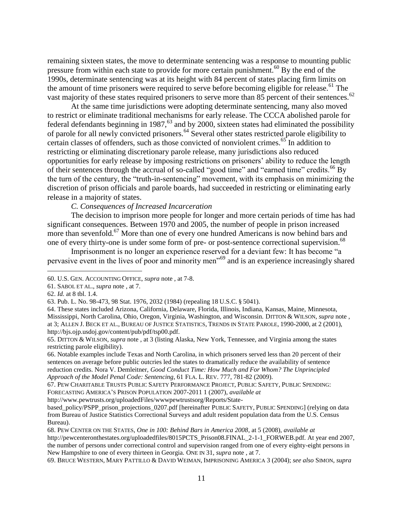remaining sixteen states, the move to determinate sentencing was a response to mounting public pressure from within each state to provide for more certain punishment.<sup>60</sup> By the end of the 1990s, determinate sentencing was at its height with 84 percent of states placing firm limits on the amount of time prisoners were required to serve before becoming eligible for release.<sup>61</sup> The vast majority of these states required prisoners to serve more than 85 percent of their sentences.<sup>62</sup>

At the same time jurisdictions were adopting determinate sentencing, many also moved to restrict or eliminate traditional mechanisms for early release. The CCCA abolished parole for federal defendants beginning in 1987,<sup>63</sup> and by 2000, sixteen states had eliminated the possibility of parole for all newly convicted prisoners.<sup>64</sup> Several other states restricted parole eligibility to certain classes of offenders, such as those convicted of nonviolent crimes.<sup>65</sup> In addition to restricting or eliminating discretionary parole release, many jurisdictions also reduced opportunities for early release by imposing restrictions on prisoners" ability to reduce the length of their sentences through the accrual of so-called "good time" and "earned time" credits.<sup>66</sup> By the turn of the century, the "truth-in-sentencing" movement, with its emphasis on minimizing the discretion of prison officials and parole boards, had succeeded in restricting or eliminating early release in a majority of states.

*C. Consequences of Increased Incarceration*

The decision to imprison more people for longer and more certain periods of time has had significant consequences. Between 1970 and 2005, the number of people in prison increased more than sevenfold.<sup>67</sup> More than one of every one hundred Americans is now behind bars and one of every thirty-one is under some form of pre- or post-sentence correctional supervision.<sup>68</sup>

Imprisonment is no longer an experience reserved for a deviant few: It has become "a pervasive event in the lives of poor and minority men"<sup>69</sup> and is an experience increasingly shared

 $\overline{a}$ 

http://www.pewtrusts.org/uploadedFiles/wwwpewtrustsorg/Reports/State-

<sup>60.</sup> U.S. GEN. ACCOUNTING OFFICE, *supra* note , at 7-8.

<sup>61.</sup> SABOL ET AL., *supra* note , at 7.

<sup>62.</sup> *Id.* at 8 tbl. 1.4.

<sup>63.</sup> Pub. L. No. 98-473, 98 Stat. 1976, 2032 (1984) (repealing 18 U.S.C. § 5041).

<sup>64.</sup> These states included Arizona, California, Delaware, Florida, Illinois, Indiana, Kansas, Maine, Minnesota, Mississippi, North Carolina, Ohio, Oregon, Virginia, Washington, and Wisconsin. DITTON & WILSON, *supra* note , at 3; ALLEN J. BECK ET AL., BUREAU OF JUSTICE STATISTICS, TRENDS IN STATE PAROLE, 1990-2000, at 2 (2001), http://bjs.ojp.usdoj.gov/content/pub/pdf/tsp00.pdf.

<sup>65.</sup> DITTON & WILSON, *supra* note , at 3 (listing Alaska, New York, Tennessee, and Virginia among the states restricting parole eligibility).

<sup>66.</sup> Notable examples include Texas and North Carolina, in which prisoners served less than 20 percent of their sentences on average before public outcries led the states to dramatically reduce the availability of sentence reduction credits. Nora V. Demleitner, *Good Conduct Time: How Much and For Whom? The Unprincipled Approach of the Model Penal Code: Sentencing*, 61 FLA. L. REV. 777, 781-82 (2009).

<sup>67.</sup> PEW CHARITABLE TRUSTS PUBLIC SAFETY PERFORMANCE PROJECT, PUBLIC SAFETY, PUBLIC SPENDING: FORECASTING AMERICA"S PRISON POPULATION 2007-2011 1 (2007), *available at*

based\_policy/PSPP\_prison\_projections\_0207.pdf [hereinafter PUBLIC SAFETY, PUBLIC SPENDING] (relying on data from Bureau of Justice Statistics Correctional Surveys and adult resident population data from the U.S. Census Bureau).

<sup>68.</sup> PEW CENTER ON THE STATES, *One in 100: Behind Bars in America 2008*, at 5 (2008), *available at*

http://pewcenteronthestates.org/uploadedfiles/8015PCTS\_Prison08.FINAL\_2-1-1\_FORWEB.pdf. At year end 2007, the number of persons under correctional control and supervision ranged from one of every eighty-eight persons in New Hampshire to one of every thirteen in Georgia. ONE IN 31, *supra* note , at 7.

<sup>69.</sup> BRUCE WESTERN, MARY PATTILLO & DAVID WEIMAN, IMPRISONING AMERICA 3 (2004); *see also* SIMON, *supra*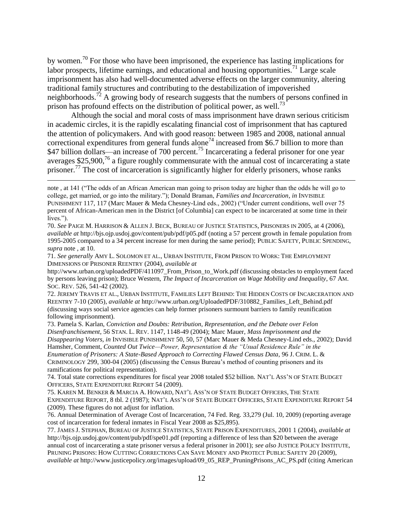by women.<sup>70</sup> For those who have been imprisoned, the experience has lasting implications for labor prospects, lifetime earnings, and educational and housing opportunities.<sup>71</sup> Large scale imprisonment has also had well-documented adverse effects on the larger community, altering traditional family structures and contributing to the destabilization of impoverished neighborhoods.<sup>72</sup> A growing body of research suggests that the numbers of persons confined in prison has profound effects on the distribution of political power, as well.<sup>73</sup>

Although the social and moral costs of mass imprisonment have drawn serious criticism in academic circles, it is the rapidly escalating financial cost of imprisonment that has captured the attention of policymakers. And with good reason: between 1985 and 2008, national annual correctional expenditures from general funds alone<sup>74</sup> increased from \$6.7 billion to more than \$47 billion dollars—an increase of 700 percent.<sup>75</sup> Incarcerating a federal prisoner for one year averages  $$25,900<sup>76</sup>$  a figure roughly commensurate with the annual cost of incarcerating a state prisoner.<sup>77</sup> The cost of incarceration is significantly higher for elderly prisoners, whose ranks

 $\overline{a}$ 

72. JEREMY TRAVIS ET AL., URBAN INSTITUTE, FAMILIES LEFT BEHIND: THE HIDDEN COSTS OF INCARCERATION AND REENTRY 7-10 (2005), *available at* http://www.urban.org/UploadedPDF/310882\_Families\_Left\_Behind.pdf (discussing ways social service agencies can help former prisoners surmount barriers to family reunification following imprisonment).

73. Pamela S. Karlan, *Conviction and Doubts: Retribution, Representation, and the Debate over Felon Disenfranchisement*, 56 STAN. L. REV. 1147, 1148-49 (2004); Marc Mauer, *Mass Imprisonment and the Disappearing Voters, in* INVISIBLE PUNISHMENT 50, 50, 57 (Marc Mauer & Meda Chesney-Lind eds., 2002); David Hamsher, Comment, *Counted Out Twice—Power, Representation & the "Usual Residence Rule" in the Enumeration of Prisoners: A State-Based Approach to Correcting Flawed Census Data*, 96 J. CRIM. L. & CRIMINOLOGY 299, 300-04 (2005) (discussing the Census Bureau"s method of counting prisoners and its ramifications for political representation).

74. Total state corrections expenditures for fiscal year 2008 totaled \$52 billion. NAT"L ASS"N OF STATE BUDGET OFFICERS, STATE EXPENDITURE REPORT 54 (2009).

75. KAREN M. BENKER & MARCIA A. HOWARD, NAT"L ASS"N OF STATE BUDGET OFFICERS, THE STATE EXPENDITURE REPORT, 8 tbl. 2 (1987); NAT"L ASS"N OF STATE BUDGET OFFICERS, STATE EXPENDITURE REPORT 54 (2009). These figures do not adjust for inflation.

76. Annual Determination of Average Cost of Incarceration, 74 Fed. Reg. 33,279 (Jul. 10, 2009) (reporting average cost of incarceration for federal inmates in Fiscal Year 2008 as \$25,895).

77. JAMES J. STEPHAN, BUREAU OF JUSTICE STATISTICS, STATE PRISON EXPENDITURES, 2001 1 (2004), *available at* http://bjs.ojp.usdoj.gov/content/pub/pdf/spe01.pdf (reporting a difference of less than \$20 between the average annual cost of incarcerating a state prisoner versus a federal prisoner in 2001); *see also* JUSTICE POLICY INSTITUTE, PRUNING PRISONS: HOW CUTTING CORRECTIONS CAN SAVE MONEY AND PROTECT PUBLIC SAFETY 20 (2009), *available at* http://www.justicepolicy.org/images/upload/09\_05\_REP\_PruningPrisons\_AC\_PS.pdf (citing American

note , at 141 ("The odds of an African American man going to prison today are higher than the odds he will go to college, get married, or go into the military."); Donald Braman, *Families and Incarceration*, *in* INVISIBLE PUNISHMENT 117, 117 (Marc Mauer & Meda Chesney-Lind eds., 2002) ("Under current conditions, well over 75 percent of African-American men in the District [of Columbia] can expect to be incarcerated at some time in their lives.").

<sup>70.</sup> *See* PAIGE M. HARRISON & ALLEN J. BECK, BUREAU OF JUSTICE STATISTICS, PRISONERS IN 2005, at 4 (2006), *available at* http://bjs.ojp.usdoj.gov/content/pub/pdf/p05.pdf (noting a 57 percent growth in female population from 1995-2005 compared to a 34 percent increase for men during the same period); PUBLIC SAFETY, PUBLIC SPENDING, *supra* note , at 10.

<sup>71.</sup> *See generally* AMY L. SOLOMON ET AL., URBAN INSTITUTE, FROM PRISON TO WORK: THE EMPLOYMENT DIMENSIONS OF PRISONER REENTRY (2004), *available at*

http://www.urban.org/uploadedPDF/411097\_From\_Prison\_to\_Work.pdf (discussing obstacles to employment faced by persons leaving prison); Bruce Western, *The Impact of Incarceration on Wage Mobility and Inequality*, 67 AM. SOC. REV. 526, 541-42 (2002).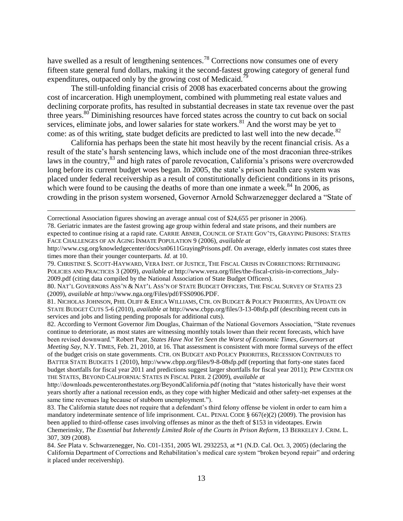have swelled as a result of lengthening sentences.<sup>78</sup> Corrections now consumes one of every fifteen state general fund dollars, making it the second-fastest growing category of general fund expenditures, outpaced only by the growing cost of Medicaid.<sup>79</sup>

The still-unfolding financial crisis of 2008 has exacerbated concerns about the growing cost of incarceration. High unemployment, combined with plummeting real estate values and declining corporate profits, has resulted in substantial decreases in state tax revenue over the past three years.<sup>80</sup> Diminishing resources have forced states across the country to cut back on social services, eliminate jobs, and lower salaries for state workers.<sup>81</sup> And the worst may be yet to come: as of this writing, state budget deficits are predicted to last well into the new decade. $82$ 

California has perhaps been the state hit most heavily by the recent financial crisis. As a result of the state"s harsh sentencing laws, which include one of the most draconian three-strikes laws in the country,<sup>83</sup> and high rates of parole revocation, California's prisons were overcrowded long before its current budget woes began. In 2005, the state's prison health care system was placed under federal receivership as a result of constitutionally deficient conditions in its prisons, which were found to be causing the deaths of more than one inmate a week. $84 \text{ In } 2006$ , as crowding in the prison system worsened, Governor Arnold Schwarzenegger declared a "State of

Correctional Association figures showing an average annual cost of \$24,655 per prisoner in 2006).

 $\overline{a}$ 

78. Geriatric inmates are the fastest growing age group within federal and state prisons, and their numbers are expected to continue rising at a rapid rate. CARRIE ABNER, COUNCIL OF STATE GOV"TS, GRAYING PRISONS: STATES FACE CHALLENGES OF AN AGING INMATE POPULATION 9 (2006), *available at*

81. NICHOLAS JOHNSON, PHIL OLIFF & ERICA WILLIAMS, CTR. ON BUDGET & POLICY PRIORITIES, AN UPDATE ON STATE BUDGET CUTS 5-6 (2010), *available at* http://www.cbpp.org/files/3-13-08sfp.pdf (describing recent cuts in services and jobs and listing pending proposals for additional cuts).

82. According to Vermont Governor Jim Douglas, Chairman of the National Governors Association, "State revenues continue to deteriorate, as most states are witnessing monthly totals lower than their recent forecasts, which have been revised downward." Robert Pear, *States Have Not Yet Seen the Worst of Economic Times, Governors at Meeting Say*, N.Y. TIMES, Feb. 21, 2010, at 16. That assessment is consistent with more formal surveys of the effect of the budget crisis on state governments. CTR. ON BUDGET AND POLICY PRIORITIES, RECESSION CONTINUES TO BATTER STATE BUDGETS 1 (2010), http://www.cbpp.org/files/9-8-08sfp.pdf (reporting that forty-one states faced budget shortfalls for fiscal year 2011 and predictions suggest larger shortfalls for fiscal year 2011); PEW CENTER ON THE STATES, BEYOND CALIFORNIA: STATES IN FISCAL PERIL 2 (2009), *available at*

http://downloads.pewcenteronthestates.org/BeyondCalifornia.pdf (noting that "states historically have their worst years shortly after a national recession ends, as they cope with higher Medicaid and other safety-net expenses at the same time revenues lag because of stubborn unemployment.").

83. The California statute does not require that a defendant's third felony offense be violent in order to earn him a mandatory indeterminate sentence of life imprisonment. CAL. PENAL CODE  $\S 667(e)(2)$  (2009). The provision has been applied to third-offense cases involving offenses as minor as the theft of \$153 in videotapes. Erwin Chemerinsky, *The Essential but Inherently Limited Role of the Courts in Prison Reform*, 13 BERKELEY J. CRIM. L. 307, 309 (2008).

84. *See* Plata v. Schwarzenegger, No. C01-1351, 2005 WL 2932253, at \*1 (N.D. Cal. Oct. 3, 2005) (declaring the California Department of Corrections and Rehabilitation"s medical care system "broken beyond repair" and ordering it placed under receivership).

http://www.csg.org/knowledgecenter/docs/sn0611GrayingPrisons.pdf. On average, elderly inmates cost states three times more than their younger counterparts. *Id.* at 10.

<sup>79.</sup> CHRISTINE S. SCOTT-HAYWARD, VERA INST. OF JUSTICE, THE FISCAL CRISIS IN CORRECTIONS: RETHINKING POLICIES AND PRACTICES 3 (2009), *available at* http://www.vera.org/files/the-fiscal-crisis-in-corrections\_July-2009.pdf (citing data compiled by the National Association of State Budget Officers).

<sup>80.</sup> NAT"L GOVERNORS ASS"N & NAT"L ASS"N OF STATE BUDGET OFFICERS, THE FISCAL SURVEY OF STATES 23 (2009), *available at* http://www.nga.org/Files/pdf/FSS0906.PDF.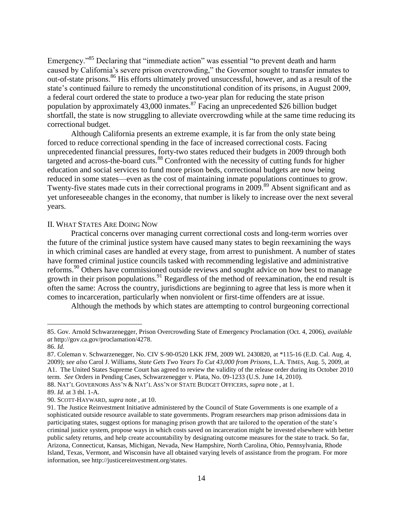Emergency."<sup>85</sup> Declaring that "immediate action" was essential "to prevent death and harm caused by California"s severe prison overcrowding," the Governor sought to transfer inmates to out-of-state prisons.<sup>86</sup> His efforts ultimately proved unsuccessful, however, and as a result of the state's continued failure to remedy the unconstitutional condition of its prisons, in August 2009, a federal court ordered the state to produce a two-year plan for reducing the state prison population by approximately 43,000 inmates.<sup>87</sup> Facing an unprecedented \$26 billion budget shortfall, the state is now struggling to alleviate overcrowding while at the same time reducing its correctional budget.

Although California presents an extreme example, it is far from the only state being forced to reduce correctional spending in the face of increased correctional costs. Facing unprecedented financial pressures, forty-two states reduced their budgets in 2009 through both targeted and across-the-board cuts.<sup>88</sup> Confronted with the necessity of cutting funds for higher education and social services to fund more prison beds, correctional budgets are now being reduced in some states—even as the cost of maintaining inmate populations continues to grow. Twenty-five states made cuts in their correctional programs in 2009.<sup>89</sup> Absent significant and as yet unforeseeable changes in the economy, that number is likely to increase over the next several years.

#### II. WHAT STATES ARE DOING NOW

Practical concerns over managing current correctional costs and long-term worries over the future of the criminal justice system have caused many states to begin reexamining the ways in which criminal cases are handled at every stage, from arrest to punishment. A number of states have formed criminal justice councils tasked with recommending legislative and administrative reforms.<sup>90</sup> Others have commissioned outside reviews and sought advice on how best to manage growth in their prison populations.<sup>91</sup> Regardless of the method of reexamination, the end result is often the same: Across the country, jurisdictions are beginning to agree that less is more when it comes to incarceration, particularly when nonviolent or first-time offenders are at issue.

Although the methods by which states are attempting to control burgeoning correctional

<sup>85.</sup> Gov. Arnold Schwarzenegger, Prison Overcrowding State of Emergency Proclamation (Oct. 4, 2006), *available at* http://gov.ca.gov/proclamation/4278.

<sup>86.</sup> *Id.*

<sup>87.</sup> Coleman v. Schwarzenegger, No. CIV S-90-0520 LKK JFM, 2009 WL 2430820, at \*115-16 (E.D. Cal. Aug. 4, 2009); *see also* Carol J. Williams, *State Gets Two Years To Cut 43,000 from Prisons*, L.A. TIMES, Aug. 5, 2009, at A1. The United States Supreme Court has agreed to review the validity of the release order during its October 2010 term. *See* Orders in Pending Cases, Schwarzenegger v. Plata, No. 09-1233 (U.S. June 14, 2010).

<sup>88.</sup> NAT"L GOVERNORS ASS"N & NAT"L ASS"N OF STATE BUDGET OFFICERS, *supra* note , at 1.

<sup>89.</sup> *Id.* at 3 tbl. 1-A.

<sup>90.</sup> SCOTT-HAYWARD, *supra* note , at 10.

<sup>91.</sup> The Justice Reinvestment Initiative administered by the Council of State Governments is one example of a sophisticated outside resource available to state governments. Program researchers map prison admissions data in participating states, suggest options for managing prison growth that are tailored to the operation of the state"s criminal justice system, propose ways in which costs saved on incarceration might be invested elsewhere with better public safety returns, and help create accountability by designating outcome measures for the state to track. So far, Arizona, Connecticut, Kansas, Michigan, Nevada, New Hampshire, North Carolina, Ohio, Pennsylvania, Rhode Island, Texas, Vermont, and Wisconsin have all obtained varying levels of assistance from the program. For more information, see http://justicereinvestment.org/states.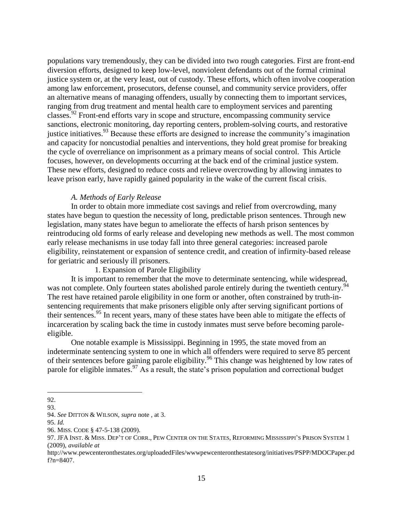populations vary tremendously, they can be divided into two rough categories. First are front-end diversion efforts, designed to keep low-level, nonviolent defendants out of the formal criminal justice system or, at the very least, out of custody. These efforts, which often involve cooperation among law enforcement, prosecutors, defense counsel, and community service providers, offer an alternative means of managing offenders, usually by connecting them to important services, ranging from drug treatment and mental health care to employment services and parenting classes.<sup>92</sup> Front-end efforts vary in scope and structure, encompassing community service sanctions, electronic monitoring, day reporting centers, problem-solving courts, and restorative justice initiatives.<sup>93</sup> Because these efforts are designed to increase the community's imagination and capacity for noncustodial penalties and interventions, they hold great promise for breaking the cycle of overreliance on imprisonment as a primary means of social control. This Article focuses, however, on developments occurring at the back end of the criminal justice system. These new efforts, designed to reduce costs and relieve overcrowding by allowing inmates to leave prison early, have rapidly gained popularity in the wake of the current fiscal crisis.

#### *A. Methods of Early Release*

In order to obtain more immediate cost savings and relief from overcrowding, many states have begun to question the necessity of long, predictable prison sentences. Through new legislation, many states have begun to ameliorate the effects of harsh prison sentences by reintroducing old forms of early release and developing new methods as well. The most common early release mechanisms in use today fall into three general categories: increased parole eligibility, reinstatement or expansion of sentence credit, and creation of infirmity-based release for geriatric and seriously ill prisoners.

1. Expansion of Parole Eligibility

It is important to remember that the move to determinate sentencing, while widespread, was not complete. Only fourteen states abolished parole entirely during the twentieth century.<sup>94</sup> The rest have retained parole eligibility in one form or another, often constrained by truth-insentencing requirements that make prisoners eligible only after serving significant portions of their sentences.<sup>95</sup> In recent years, many of these states have been able to mitigate the effects of incarceration by scaling back the time in custody inmates must serve before becoming paroleeligible.

One notable example is Mississippi. Beginning in 1995, the state moved from an indeterminate sentencing system to one in which all offenders were required to serve 85 percent of their sentences before gaining parole eligibility.<sup>96</sup> This change was heightened by low rates of parole for eligible inmates.<sup>97</sup> As a result, the state's prison population and correctional budget

 $\overline{a}$ 92.

<sup>93.</sup> 

<sup>94.</sup> *See* DITTON & WILSON, *supra* note , at 3.

<sup>95.</sup> *Id.*

<sup>96.</sup> MISS. CODE § 47-5-138 (2009).

<sup>97.</sup> JFA INST. & MISS. DEP'T OF CORR., PEW CENTER ON THE STATES, REFORMING MISSISSIPPI'S PRISON SYSTEM 1 (2009), *available at*

http://www.pewcenteronthestates.org/uploadedFiles/wwwpewcenteronthestatesorg/initiatives/PSPP/MDOCPaper.pd f?n=8407.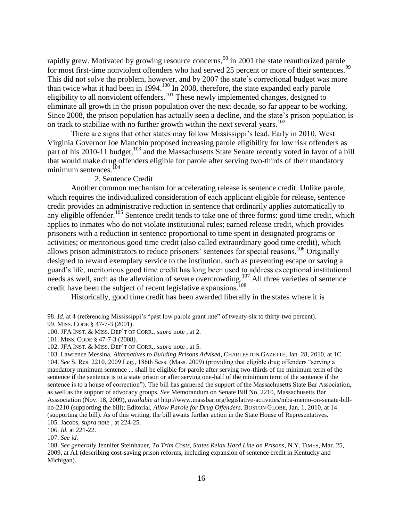rapidly grew. Motivated by growing resource concerns,<sup>98</sup> in 2001 the state reauthorized parole for most first-time nonviolent offenders who had served 25 percent or more of their sentences.<sup>99</sup> This did not solve the problem, however, and by 2007 the state"s correctional budget was more than twice what it had been in 1994.<sup>100</sup> In 2008, therefore, the state expanded early parole eligibility to all nonviolent offenders.<sup>101</sup> These newly implemented changes, designed to eliminate all growth in the prison population over the next decade, so far appear to be working. Since 2008, the prison population has actually seen a decline, and the state"s prison population is on track to stabilize with no further growth within the next several years.<sup>102</sup>

There are signs that other states may follow Mississippi"s lead. Early in 2010, West Virginia Governor Joe Manchin proposed increasing parole eligibility for low risk offenders as part of his 2010-11 budget,<sup>103</sup> and the Massachusetts State Senate recently voted in favor of a bill that would make drug offenders eligible for parole after serving two-thirds of their mandatory minimum sentences. $^{104}$ 

#### 2. Sentence Credit

Another common mechanism for accelerating release is sentence credit. Unlike parole, which requires the individualized consideration of each applicant eligible for release, sentence credit provides an administrative reduction in sentence that ordinarily applies automatically to any eligible offender.<sup>105</sup> Sentence credit tends to take one of three forms: good time credit, which applies to inmates who do not violate institutional rules; earned release credit, which provides prisoners with a reduction in sentence proportional to time spent in designated programs or activities; or meritorious good time credit (also called extraordinary good time credit), which allows prison administrators to reduce prisoners' sentences for special reasons.<sup>106</sup> Originally designed to reward exemplary service to the institution, such as preventing escape or saving a guard"s life, meritorious good time credit has long been used to address exceptional institutional needs as well, such as the alleviation of severe overcrowding.<sup>107</sup> All three varieties of sentence credit have been the subject of recent legislative expansions.<sup>108</sup>

Historically, good time credit has been awarded liberally in the states where it is

<sup>98.</sup> *Id.* at 4 (referencing Mississippi's "past low parole grant rate" of twenty-six to thirty-two percent).

<sup>99.</sup> MISS. CODE § 47-7-3 (2001).

<sup>100.</sup> JFA INST. & MISS. DEP"T OF CORR., *supra* note , at 2.

<sup>101.</sup> MISS. CODE § 47-7-3 (2008).

<sup>102.</sup> JFA INST. & MISS. DEP"T OF CORR., *supra* note , at 5.

<sup>103.</sup> Lawrence Messina, *Alternatives to Building Prisons Advised*, CHARLESTON GAZETTE, Jan. 28, 2010, at 1C. 104. *See* S. Res. 2210, 2009 Leg., 186th Sess. (Mass. 2009) (providing that eligible drug offenders "serving a mandatory minimum sentence ... shall be eligible for parole after serving two-thirds of the minimum term of the sentence if the sentence is to a state prison or after serving one-half of the minimum term of the sentence if the sentence is to a house of correction"). The bill has garnered the support of the Massachusetts State Bar Association, as well as the support of advocacy groups. *See* Memorandum on Senate Bill No. 2210, Massachusetts Bar Asssociation (Nov. 18, 2009), *available at* http://www.massbar.org/legislative-activities/mba-memo-on-senate-billno-2210 (supporting the bill); Editorial, *Allow Parole for Drug Offenders*, BOSTON GLOBE, Jan. 1, 2010, at 14 (supporting the bill). As of this writing, the bill awaits further action in the State House of Representatives. 105. Jacobs, *supra* note , at 224-25.

<sup>106.</sup> *Id.* at 221-22.

<sup>107.</sup> *See id.*

<sup>108.</sup> *See generally* Jennifer Steinhauer, *To Trim Costs, States Relax Hard Line on Prisons*, N.Y. TIMES, Mar. 25, 2009, at A1 (describing cost-saving prison reforms, including expansion of sentence credit in Kentucky and Michigan).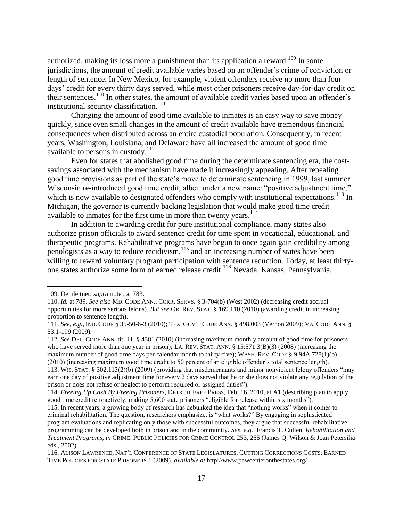authorized, making its loss more a punishment than its application a reward.<sup>109</sup> In some jurisdictions, the amount of credit available varies based on an offender's crime of conviction or length of sentence. In New Mexico, for example, violent offenders receive no more than four days" credit for every thirty days served, while most other prisoners receive day-for-day credit on their sentences.<sup>110</sup> In other states, the amount of available credit varies based upon an offender's institutional security classification.<sup>111</sup>

Changing the amount of good time available to inmates is an easy way to save money quickly, since even small changes in the amount of credit available have tremendous financial consequences when distributed across an entire custodial population. Consequently, in recent years, Washington, Louisiana, and Delaware have all increased the amount of good time available to persons in custody.<sup>112</sup>

Even for states that abolished good time during the determinate sentencing era, the costsavings associated with the mechanism have made it increasingly appealing. After repealing good time provisions as part of the state's move to determinate sentencing in 1999, last summer Wisconsin re-introduced good time credit, albeit under a new name: "positive adjustment time," which is now available to designated offenders who comply with institutional expectations.<sup>113</sup> In Michigan, the governor is currently backing legislation that would make good time credit available to inmates for the first time in more than twenty years.<sup>114</sup>

In addition to awarding credit for pure institutional compliance, many states also authorize prison officials to award sentence credit for time spent in vocational, educational, and therapeutic programs. Rehabilitative programs have begun to once again gain credibility among penologists as a way to reduce recidivism,  $\frac{115}{115}$  and an increasing number of states have been willing to reward voluntary program participation with sentence reduction. Today, at least thirtyone states authorize some form of earned release credit.<sup>116</sup> Nevada, Kansas, Pennsylvania,

<sup>109.</sup> Demleitner, *supra* note , at 783.

<sup>110.</sup> *Id.* at 789. *See also* MD. CODE ANN., CORR. SERVS. § 3-704(b) (West 2002) (decreasing credit accrual opportunities for more serious felons). *But see* OR. REV. STAT. § 169.110 (2010) (awarding credit in increasing proportion to sentence length).

<sup>111.</sup> *See, e.g.*, IND. CODE § 35-50-6-3 (2010); TEX. GOV"T CODE ANN. § 498.003 (Vernon 2009); VA. CODE ANN. § 53.1-199 (2009).

<sup>112.</sup> *See* DEL. CODE ANN. tit. 11, § 4381 (2010) (increasing maximum monthly amount of good time for prisoners who have served more than one year in prison); LA. REV. STAT. ANN. § 15:571.3(B)(3) (2008) (increasing the maximum number of good time days per calendar month to thirty-five); WASH. REV. CODE § 9.94A.728(1)(b) (2010) (increasing maximum good time credit to 50 percent of an eligible offender"s total sentence length). 113. WIS. STAT. § 302.113(2)(b) (2009) (providing that misdemeanants and minor nonviolent felony offenders "may

earn one day of positive adjustment time for every 2 days served that he or she does not violate any regulation of the prison or does not refuse or neglect to perform required or assigned duties").

<sup>114.</sup> *Freeing Up Cash By Freeing Prisoners*, DETROIT FREE PRESS, Feb. 16, 2010, at A1 (describing plan to apply good time credit retroactively, making 5,600 state prisoners "eligible for release within six months").

<sup>115.</sup> In recent years, a growing body of research has debunked the idea that "nothing works" when it comes to criminal rehabilitation. The question, researchers emphasize, is "what works?" By engaging in sophisticated program evaluations and replicating only those with successful outcomes, they argue that successful rehabilitative programming can be developed both in prison and in the community. *See, e.g.*, Francis T. Cullen, *Rehabilitation and Treatment Programs*, *in* CRIME: PUBLIC POLICIES FOR CRIME CONTROL 253, 255 (James Q. Wilson & Joan Petersilia eds., 2002).

<sup>116.</sup> ALISON LAWRENCE, NAT"L CONFERENCE OF STATE LEGISLATURES, CUTTING CORRECTIONS COSTS: EARNED TIME POLICIES FOR STATE PRISONERS 1 (2009), *available at* http://www.pewcenteronthestates.org/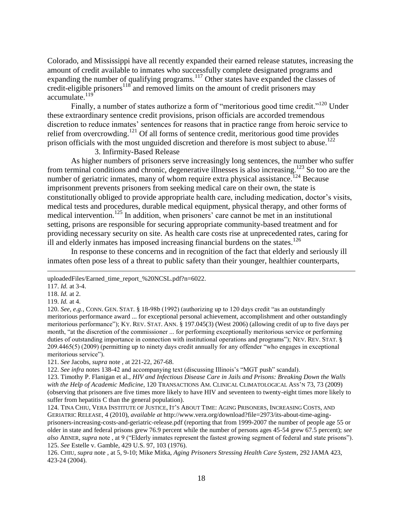Colorado, and Mississippi have all recently expanded their earned release statutes, increasing the amount of credit available to inmates who successfully complete designated programs and expanding the number of qualifying programs.<sup>117</sup> Other states have expanded the classes of credit-eligible prisoners<sup>118</sup> and removed limits on the amount of credit prisoners may accumulate.<sup>119</sup>

Finally, a number of states authorize a form of "meritorious good time credit."<sup>120</sup> Under these extraordinary sentence credit provisions, prison officials are accorded tremendous discretion to reduce inmates' sentences for reasons that in practice range from heroic service to relief from overcrowding.<sup>121</sup> Of all forms of sentence credit, meritorious good time provides prison officials with the most unguided discretion and therefore is most subject to abuse.<sup>122</sup>

3. Infirmity-Based Release

As higher numbers of prisoners serve increasingly long sentences, the number who suffer from terminal conditions and chronic, degenerative illnesses is also increasing.<sup>123</sup> So too are the number of geriatric inmates, many of whom require extra physical assistance.<sup>124</sup> Because imprisonment prevents prisoners from seeking medical care on their own, the state is constitutionally obliged to provide appropriate health care, including medication, doctor"s visits, medical tests and procedures, durable medical equipment, physical therapy, and other forms of medical intervention.<sup>125</sup> In addition, when prisoners' care cannot be met in an institutional setting, prisons are responsible for securing appropriate community-based treatment and for providing necessary security on site. As health care costs rise at unprecedented rates, caring for ill and elderly inmates has imposed increasing financial burdens on the states.<sup>126</sup>

In response to these concerns and in recognition of the fact that elderly and seriously ill inmates often pose less of a threat to public safety than their younger, healthier counterparts,

 $\overline{a}$ 

118. *Id.* at 2.

120. *See, e.g.*, CONN. GEN. STAT. § 18-98b (1992) (authorizing up to 120 days credit "as an outstandingly meritorious performance award ... for exceptional personal achievement, accomplishment and other outstandingly meritorious performance"); KY. REV. STAT. ANN. § 197.045(3) (West 2006) (allowing credit of up to five days per month, "at the discretion of the commissioner ... for performing exceptionally meritorious service or performing duties of outstanding importance in connection with institutional operations and programs"); NEV. REV. STAT. § 209.4465(5) (2009) (permitting up to ninety days credit annually for any offender "who engages in exceptional meritorious service").

121. *See* Jacobs, *supra* note , at 221-22, 267-68.

uploadedFiles/Earned\_time\_report\_%20NCSL.pdf?n=6022.

<sup>117.</sup> *Id.* at 3-4.

<sup>119.</sup> *Id.* at 4.

<sup>122.</sup> *See infra* notes 138-42 and accompanying text (discussing Illinois"s "MGT push" scandal).

<sup>123.</sup> Timothy P. Flanigan et al., *HIV and Infectious Disease Care in Jails and Prisons: Breaking Down the Walls with the Help of Academic Medicine*, 120 TRANSACTIONS AM. CLINICAL CLIMATOLOGICAL ASS"N 73, 73 (2009) (observing that prisoners are five times more likely to have HIV and seventeen to twenty-eight times more likely to suffer from hepatitis C than the general population).

<sup>124.</sup> TINA CHIU, VERA INSTITUTE OF JUSTICE, IT"S ABOUT TIME: AGING PRISONERS, INCREASING COSTS, AND GERIATRIC RELEASE, 4 (2010), *available at* http://www.vera.org/download?file=2973/its-about-time-agingprisoners-increasing-costs-and-geriatric-release.pdf (reporting that from 1999-2007 the number of people age 55 or older in state and federal prisons grew 76.9 percent while the number of persons ages 45-54 grew 67.5 percent); *see also* ABNER, *supra* note , at 9 ("Elderly inmates represent the fastest growing segment of federal and state prisons"). 125. *See* Estelle v. Gamble, 429 U.S. 97, 103 (1976).

<sup>126.</sup> CHIU, *supra* note , at 5, 9-10; Mike Mitka, *Aging Prisoners Stressing Health Care System*, 292 JAMA 423, 423-24 (2004).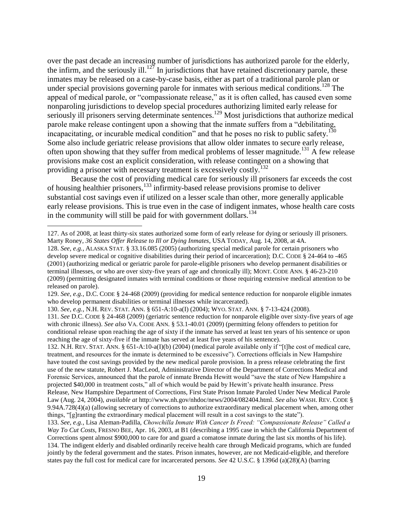over the past decade an increasing number of jurisdictions has authorized parole for the elderly, the infirm, and the seriously ill.<sup>127</sup> In jurisdictions that have retained discretionary parole, these inmates may be released on a case-by-case basis, either as part of a traditional parole plan or under special provisions governing parole for inmates with serious medical conditions.<sup>128</sup> The appeal of medical parole, or "compassionate release," as it is often called, has caused even some nonparoling jurisdictions to develop special procedures authorizing limited early release for seriously ill prisoners serving determinate sentences.<sup>129</sup> Most jurisdictions that authorize medical parole make release contingent upon a showing that the inmate suffers from a "debilitating, incapacitating, or incurable medical condition" and that he poses no risk to public safety.<sup>130</sup> Some also include geriatric release provisions that allow older inmates to secure early release, often upon showing that they suffer from medical problems of lesser magnitude.<sup>131</sup> A few release provisions make cost an explicit consideration, with release contingent on a showing that providing a prisoner with necessary treatment is excessively costly.<sup>132</sup>

Because the cost of providing medical care for seriously ill prisoners far exceeds the cost of housing healthier prisoners,<sup>133</sup> infirmity-based release provisions promise to deliver substantial cost savings even if utilized on a lesser scale than other, more generally applicable early release provisions. This is true even in the case of indigent inmates, whose health care costs in the community will still be paid for with government dollars.<sup>134</sup>

 $\overline{a}$ 

132. N.H. REV. STAT. ANN. § 651-A:10-a(I)(b) (2004) (medical parole available only if "[t]he cost of medical care, treatment, and resources for the inmate is determined to be excessive"). Corrections officials in New Hampshire have touted the cost savings provided by the new medical parole provision. In a press release celebrating the first use of the new statute, Robert J. MacLeod, Administrative Director of the Department of Corrections Medical and Forensic Services, announced that the parole of inmate Brenda Hewitt would "save the state of New Hampshire a projected \$40,000 in treatment costs," all of which would be paid by Hewitt"s private health insurance. Press Release, New Hampshire Department of Corrections, First State Prison Inmate Paroled Under New Medical Parole Law (Aug. 24, 2004), *available at* http://www.nh.gov/nhdoc/news/2004/082404.html. *See also* WASH. REV. CODE § 9.94A.728(4)(a) (allowing secretary of corrections to authorize extraordinary medical placement when, among other things, "[g]ranting the extraordinary medical placement will result in a cost savings to the state").

<sup>127.</sup> As of 2008, at least thirty-six states authorized some form of early release for dying or seriously ill prisoners. Marty Roney, *36 States Offer Release to Ill or Dying Inmates*, USA TODAY, Aug. 14, 2008, at 4A.

<sup>128.</sup> *See, e.g.*, ALASKA STAT. § 33.16.085 (2005) (authorizing special medical parole for certain prisoners who develop severe medical or cognitive disabilities during their period of incarceration); D.C. CODE § 24-464 to -465 (2001) (authorizing medical or geriatric parole for parole-eligible prisoners who develop permanent disabilities or terminal illnesses, or who are over sixty-five years of age and chronically ill); MONT. CODE ANN. § 46-23-210 (2009) (permitting designated inmates with terminal conditions or those requiring extensive medical attention to be released on parole).

<sup>129.</sup> *See, e.g.*, D.C. CODE § 24-468 (2009) (providing for medical sentence reduction for nonparole eligible inmates who develop permanent disabilities or terminal illnesses while incarcerated).

<sup>130.</sup> *See, e.g.*, N.H. REV. STAT. ANN. § 651-A:10-a(I) (2004); WYO. STAT. ANN. § 7-13-424 (2008).

<sup>131.</sup> *See* D.C. CODE § 24-468 (2009) (geriatric sentence reduction for nonparole eligible over sixty-five years of age with chronic illness). *See also* VA. CODE ANN. § 53.1-40.01 (2009) (permitting felony offenders to petition for conditional release upon reaching the age of sixty if the inmate has served at least ten years of his sentence or upon reaching the age of sixty-five if the inmate has served at least five years of his sentence).

<sup>133.</sup> *See, e.g.*, Lisa Aleman-Padilla, *Chowchilla Inmate With Cancer Is Freed: "Compassionate Release" Called a Way To Cut Costs*, FRESNO BEE, Apr. 16, 2003, at B1 (describing a 1995 case in which the California Department of Corrections spent almost \$900,000 to care for and guard a comatose inmate during the last six months of his life). 134. The indigent elderly and disabled ordinarily receive health care through Medicaid programs, which are funded jointly by the federal government and the states. Prison inmates, however, are not Medicaid-eligible, and therefore states pay the full cost for medical care for incarcerated persons. *See* 42 U.S.C. § 1396d (a)(28)(A) (barring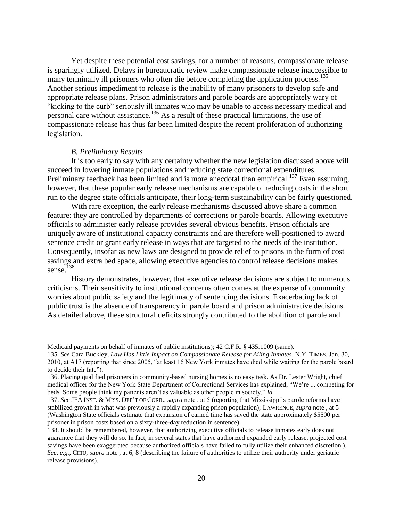Yet despite these potential cost savings, for a number of reasons, compassionate release is sparingly utilized. Delays in bureaucratic review make compassionate release inaccessible to many terminally ill prisoners who often die before completing the application process.<sup>135</sup> Another serious impediment to release is the inability of many prisoners to develop safe and appropriate release plans. Prison administrators and parole boards are appropriately wary of "kicking to the curb" seriously ill inmates who may be unable to access necessary medical and personal care without assistance.<sup>136</sup> As a result of these practical limitations, the use of compassionate release has thus far been limited despite the recent proliferation of authorizing legislation.

#### *B. Preliminary Results*

 $\overline{a}$ 

It is too early to say with any certainty whether the new legislation discussed above will succeed in lowering inmate populations and reducing state correctional expenditures. Preliminary feedback has been limited and is more anecdotal than empirical.<sup>137</sup> Even assuming, however, that these popular early release mechanisms are capable of reducing costs in the short run to the degree state officials anticipate, their long-term sustainability can be fairly questioned.

With rare exception, the early release mechanisms discussed above share a common feature: they are controlled by departments of corrections or parole boards. Allowing executive officials to administer early release provides several obvious benefits. Prison officials are uniquely aware of institutional capacity constraints and are therefore well-positioned to award sentence credit or grant early release in ways that are targeted to the needs of the institution. Consequently, insofar as new laws are designed to provide relief to prisons in the form of cost savings and extra bed space, allowing executive agencies to control release decisions makes sense. 138

History demonstrates, however, that executive release decisions are subject to numerous criticisms. Their sensitivity to institutional concerns often comes at the expense of community worries about public safety and the legitimacy of sentencing decisions. Exacerbating lack of public trust is the absence of transparency in parole board and prison administrative decisions. As detailed above, these structural deficits strongly contributed to the abolition of parole and

Medicaid payments on behalf of inmates of public institutions); 42 C.F.R. § 435.1009 (same).

<sup>135.</sup> *See* Cara Buckley, *Law Has Little Impact on Compassionate Release for Ailing Inmates*, N.Y. TIMES, Jan. 30, 2010, at A17 (reporting that since 2005, "at least 16 New York inmates have died while waiting for the parole board to decide their fate").

<sup>136.</sup> Placing qualified prisoners in community-based nursing homes is no easy task. As Dr. Lester Wright, chief medical officer for the New York State Department of Correctional Services has explained, "We"re ... competing for beds. Some people think my patients aren"t as valuable as other people in society." *Id.*

<sup>137.</sup> *See* JFA INST. & MISS. DEP"T OF CORR., *supra* note , at 5 (reporting that Mississippi"s parole reforms have stabilized growth in what was previously a rapidly expanding prison population); LAWRENCE, *supra* note , at 5 (Washington State officials estimate that expansion of earned time has saved the state approximately \$5500 per prisoner in prison costs based on a sixty-three-day reduction in sentence).

<sup>138.</sup> It should be remembered, however, that authorizing executive officials to release inmates early does not guarantee that they will do so. In fact, in several states that have authorized expanded early release, projected cost savings have been exaggerated because authorized officials have failed to fully utilize their enhanced discretion.). *See, e.g.*, CHIU, *supra* note , at 6, 8 (describing the failure of authorities to utilize their authority under geriatric release provisions).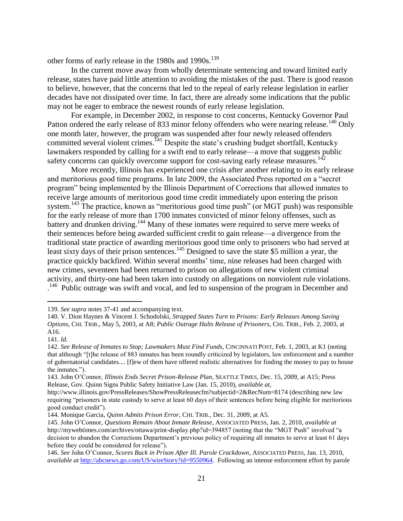other forms of early release in the 1980s and 1990s.<sup>139</sup>

In the current move away from wholly determinate sentencing and toward limited early release, states have paid little attention to avoiding the mistakes of the past. There is good reason to believe, however, that the concerns that led to the repeal of early release legislation in earlier decades have not dissipated over time. In fact, there are already some indications that the public may not be eager to embrace the newest rounds of early release legislation.

For example, in December 2002, in response to cost concerns, Kentucky Governor Paul Patton ordered the early release of 833 minor felony offenders who were nearing release.<sup>140</sup> Only one month later, however, the program was suspended after four newly released offenders committed several violent crimes.<sup>141</sup> Despite the state's crushing budget shortfall, Kentucky lawmakers responded by calling for a swift end to early release—a move that suggests public safety concerns can quickly overcome support for cost-saving early release measures.<sup>142</sup>

More recently, Illinois has experienced one crisis after another relating to its early release and meritorious good time programs. In late 2009, the Associated Press reported on a "secret program" being implemented by the Illinois Department of Corrections that allowed inmates to receive large amounts of meritorious good time credit immediately upon entering the prison system.<sup>143</sup> The practice, known as "meritorious good time push" (or MGT push) was responsible for the early release of more than 1700 inmates convicted of minor felony offenses, such as battery and drunken driving.<sup>144</sup> Many of these inmates were required to serve mere weeks of their sentences before being awarded sufficient credit to gain release—a divergence from the traditional state practice of awarding meritorious good time only to prisoners who had served at least sixty days of their prison sentences.<sup>145</sup> Designed to save the state \$5 million a year, the practice quickly backfired. Within several months" time, nine releases had been charged with new crimes, seventeen had been returned to prison on allegations of new violent criminal activity, and thirty-one had been taken into custody on allegations on nonviolent rule violations. <sup>146</sup> Public outrage was swift and vocal, and led to suspension of the program in December and

<sup>139.</sup> *See supra* notes 37-41 and accompanying text.

<sup>140.</sup> V. Dion Haynes & Vincent J. Schodolski, *Strapped States Turn to Prisons: Early Releases Among Saving Options*, CHI. TRIB., May 5, 2003, at A8; *Public Outrage Halts Release of Prisoners*, CHI. TRIB., Feb. 2, 2003, at A16.

<sup>141.</sup> *Id.*

<sup>142.</sup> *See Release of Inmates to Stop; Lawmakers Must Find Funds*, CINCINNATI POST, Feb. 1, 2003, at K1 (noting that although "[t]he release of 883 inmates has been roundly criticized by legislators, law enforcement and a number of gubernatorial candidates.... [f]ew of them have offered realistic alternatives for finding the money to pay to house the inmates.").

<sup>143.</sup> John O"Connor, *Illinois Ends Secret Prison-Release Plan*, SEATTLE TIMES, Dec. 15, 2009, at A15; Press Release, Gov. Quinn Signs Public Safety Initiative Law (Jan. 15, 2010), *available at*,

http://www.illinois.gov/PressReleases/ShowPressReleasecfm?subjectid=2&RecNum=8174 (describing new law requiring "prisoners in state custody to serve at least 60 days of their sentences before being eligible for meritorious good conduct credit").

<sup>144.</sup> Monique Garcia, *Quinn Admits Prison Error*, CHI. TRIB., Dec. 31, 2009, at A5.

<sup>145.</sup> John O"Connor, *Questions Remain About Inmate Release*, ASSOCIATED PRESS, Jan. 2, 2010, *available at* http://mywebtimes.com/archives/ottawa/print-display.php?id=394857 (noting that the "MGT Push" involved "a decision to abandon the Corrections Department"s previous policy of requiring all inmates to serve at least 61 days before they could be considered for release").

<sup>146.</sup> *See* John O"Connor, *Scores Back in Prison After Ill. Parole Crackdown*, ASSOCIATED PRESS, Jan. 13, 2010, *available at* [http://abcnews.go.com/US/wireStory?id=9550964.](http://abcnews.go.com/US/wireStory?id=9550964) Following an intense enforcement effort by parole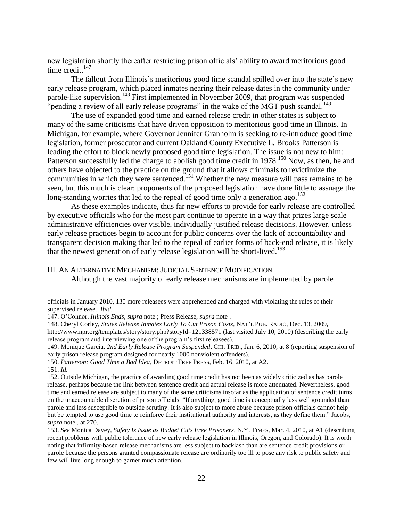new legislation shortly thereafter restricting prison officials' ability to award meritorious good time credit. $147$ 

The fallout from Illinois's meritorious good time scandal spilled over into the state's new early release program, which placed inmates nearing their release dates in the community under parole-like supervision.<sup>148</sup> First implemented in November 2009, that program was suspended "pending a review of all early release programs" in the wake of the MGT push scandal.<sup>149</sup>

The use of expanded good time and earned release credit in other states is subject to many of the same criticisms that have driven opposition to meritorious good time in Illinois. In Michigan, for example, where Governor Jennifer Granholm is seeking to re-introduce good time legislation, former prosecutor and current Oakland County Executive L. Brooks Patterson is leading the effort to block newly proposed good time legislation. The issue is not new to him: Patterson successfully led the charge to abolish good time credit in 1978.<sup>150</sup> Now, as then, he and others have objected to the practice on the ground that it allows criminals to revictimize the communities in which they were sentenced.<sup>151</sup> Whether the new measure will pass remains to be seen, but this much is clear: proponents of the proposed legislation have done little to assuage the long-standing worries that led to the repeal of good time only a generation ago.<sup>152</sup>

As these examples indicate, thus far new efforts to provide for early release are controlled by executive officials who for the most part continue to operate in a way that prizes large scale administrative efficiencies over visible, individually justified release decisions. However, unless early release practices begin to account for public concerns over the lack of accountability and transparent decision making that led to the repeal of earlier forms of back-end release, it is likely that the newest generation of early release legislation will be short-lived.<sup>153</sup>

## III. AN ALTERNATIVE MECHANISM: JUDICIAL SENTENCE MODIFICATION Although the vast majority of early release mechanisms are implemented by parole

officials in January 2010, 130 more releasees were apprehended and charged with violating the rules of their supervised release. *Ibid.*

<sup>147.</sup> O"Connor, *Illinois Ends*, *supra* note ; Press Release, *supra* note .

<sup>148.</sup> Cheryl Corley, *States Release Inmates Early To Cut Prison Costs*, NAT"L PUB. RADIO, Dec. 13, 2009,

http://www.npr.org/templates/story/story.php?storyId=121338571 (last visited July 10, 2010) (describing the early release program and interviewing one of the program"s first releasees).

<sup>149.</sup> Monique Garcia, *2nd Early Release Program Suspended*, CHI. TRIB., Jan. 6, 2010, at 8 (reporting suspension of early prison release program designed for nearly 1000 nonviolent offenders).

<sup>150.</sup> *Patterson: Good Time a Bad Idea*, DETROIT FREE PRESS, Feb. 16, 2010, at A2.

<sup>151.</sup> *Id.*

<sup>152.</sup> Outside Michigan, the practice of awarding good time credit has not been as widely criticized as has parole release, perhaps because the link between sentence credit and actual release is more attenuated. Nevertheless, good time and earned release are subject to many of the same criticisms insofar as the application of sentence credit turns on the unaccountable discretion of prison officials. "If anything, good time is conceptually less well grounded than parole and less susceptible to outside scrutiny. It is also subject to more abuse because prison officials cannot help but be tempted to use good time to reinforce their institutional authority and interests, as they define them." Jacobs, *supra* note , at 270.

<sup>153.</sup> *See* Monica Davey, *Safety Is Issue as Budget Cuts Free Prisoners*, N.Y. TIMES, Mar. 4, 2010, at A1 (describing recent problems with public tolerance of new early release legislation in Illinois, Oregon, and Colorado). It is worth noting that infirmity-based release mechanisms are less subject to backlash than are sentence credit provisions or parole because the persons granted compassionate release are ordinarily too ill to pose any risk to public safety and few will live long enough to garner much attention.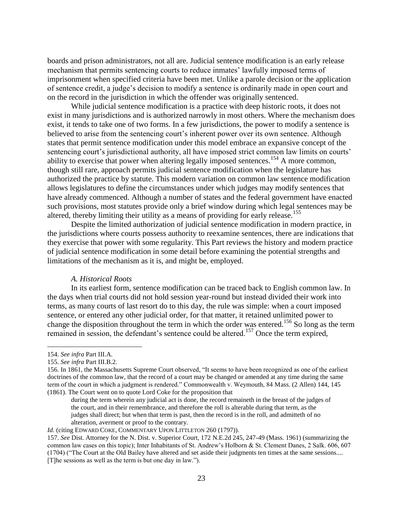boards and prison administrators, not all are. Judicial sentence modification is an early release mechanism that permits sentencing courts to reduce inmates' lawfully imposed terms of imprisonment when specified criteria have been met. Unlike a parole decision or the application of sentence credit, a judge"s decision to modify a sentence is ordinarily made in open court and on the record in the jurisdiction in which the offender was originally sentenced.

While judicial sentence modification is a practice with deep historic roots, it does not exist in many jurisdictions and is authorized narrowly in most others. Where the mechanism does exist, it tends to take one of two forms. In a few jurisdictions, the power to modify a sentence is believed to arise from the sentencing court's inherent power over its own sentence. Although states that permit sentence modification under this model embrace an expansive concept of the sentencing court's jurisdictional authority, all have imposed strict common law limits on courts' ability to exercise that power when altering legally imposed sentences.<sup>154</sup> A more common, though still rare, approach permits judicial sentence modification when the legislature has authorized the practice by statute. This modern variation on common law sentence modification allows legislatures to define the circumstances under which judges may modify sentences that have already commenced. Although a number of states and the federal government have enacted such provisions, most statutes provide only a brief window during which legal sentences may be altered, thereby limiting their utility as a means of providing for early release.<sup>155</sup>

Despite the limited authorization of judicial sentence modification in modern practice, in the jurisdictions where courts possess authority to reexamine sentences, there are indications that they exercise that power with some regularity. This Part reviews the history and modern practice of judicial sentence modification in some detail before examining the potential strengths and limitations of the mechanism as it is, and might be, employed.

#### *A. Historical Roots*

In its earliest form, sentence modification can be traced back to English common law. In the days when trial courts did not hold session year-round but instead divided their work into terms, as many courts of last resort do to this day, the rule was simple: when a court imposed sentence, or entered any other judicial order, for that matter, it retained unlimited power to change the disposition throughout the term in which the order was entered.<sup>156</sup> So long as the term remained in session, the defendant's sentence could be altered.<sup>157</sup> Once the term expired,

<sup>154.</sup> *See infra* Part III.A.

<sup>155.</sup> *See infra* Part III.B.2.

<sup>156.</sup> In 1861, the Massachusetts Supreme Court observed, "It seems to have been recognized as one of the earliest doctrines of the common law, that the record of a court may be changed or amended at any time during the same term of the court in which a judgment is rendered." Commonwealth v. Weymouth, 84 Mass. (2 Allen) 144, 145 (1861). The Court went on to quote Lord Coke for the proposition that

during the term wherein any judicial act is done, the record remaineth in the breast of the judges of the court, and in their remembrance, and therefore the roll is alterable during that term, as the judges shall direct; but when that term is past, then the record is in the roll, and admitteth of no alteration, averment or proof to the contrary.

*Id.* (citing EDWARD COKE, COMMENTARY UPON LITTLETON 260 (1797)).

<sup>157.</sup> *See* Dist. Attorney for the N. Dist. v. Superior Court, 172 N.E.2d 245, 247-49 (Mass. 1961) (summarizing the common law cases on this topic); Inter Inhabitants of St. Andrew's Holborn & St. Clement Danes, 2 Salk. 606, 607 (1704) ("The Court at the Old Bailey have altered and set aside their judgments ten times at the same sessions.... [T]he sessions as well as the term is but one day in law.").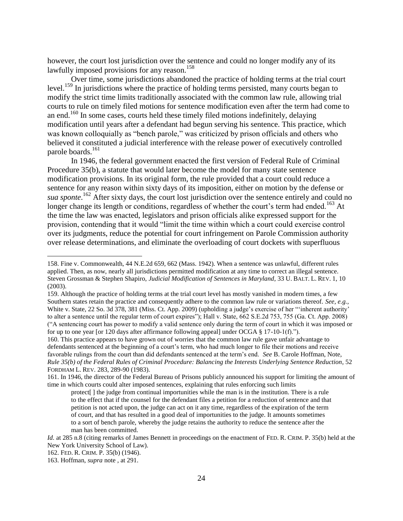however, the court lost jurisdiction over the sentence and could no longer modify any of its lawfully imposed provisions for any reason.<sup>158</sup>

Over time, some jurisdictions abandoned the practice of holding terms at the trial court level.<sup>159</sup> In jurisdictions where the practice of holding terms persisted, many courts began to modify the strict time limits traditionally associated with the common law rule, allowing trial courts to rule on timely filed motions for sentence modification even after the term had come to an end.<sup>160</sup> In some cases, courts held these timely filed motions indefinitely, delaying modification until years after a defendant had begun serving his sentence. This practice, which was known colloquially as "bench parole," was criticized by prison officials and others who believed it constituted a judicial interference with the release power of executively controlled parole boards.<sup>161</sup>

In 1946, the federal government enacted the first version of Federal Rule of Criminal Procedure 35(b), a statute that would later become the model for many state sentence modification provisions. In its original form, the rule provided that a court could reduce a sentence for any reason within sixty days of its imposition, either on motion by the defense or sua sponte.<sup>162</sup> After sixty days, the court lost jurisdiction over the sentence entirely and could no longer change its length or conditions, regardless of whether the court's term had ended.<sup>163</sup> At the time the law was enacted, legislators and prison officials alike expressed support for the provision, contending that it would "limit the time within which a court could exercise control over its judgments, reduce the potential for court infringement on Parole Commission authority over release determinations, and eliminate the overloading of court dockets with superfluous

<sup>158.</sup> Fine v. Commonwealth, 44 N.E.2d 659, 662 (Mass. 1942). When a sentence was unlawful, different rules applied. Then, as now, nearly all jurisdictions permitted modification at any time to correct an illegal sentence. Steven Grossman & Stephen Shapiro, *Judicial Modification of Sentences in Maryland*, 33 U. BALT. L. REV. 1, 10 (2003).

<sup>159.</sup> Although the practice of holding terms at the trial court level has mostly vanished in modern times, a few Southern states retain the practice and consequently adhere to the common law rule or variations thereof. *See, e.g.,*  White v. State, 22 So. 3d 378, 381 (Miss. Ct. App. 2009) (upholding a judge's exercise of her ""inherent authority" to alter a sentence until the regular term of court expires"); Hall v. State, 662 S.E.2d 753, 755 (Ga. Ct. App. 2008) ("A sentencing court has power to modify a valid sentence only during the term of court in which it was imposed or for up to one year [or 120 days after affirmance following appeal] under OCGA § 17-10-1(f).").

<sup>160.</sup> This practice appears to have grown out of worries that the common law rule gave unfair advantage to defendants sentenced at the beginning of a court's term, who had much longer to file their motions and receive favorable rulings from the court than did defendants sentenced at the term"s end. *See* B. Carole Hoffman, Note, *Rule 35(b) of the Federal Rules of Criminal Procedure: Balancing the Interests Underlying Sentence Reduction*, 52 FORDHAM L. REV. 283, 289-90 (1983).

<sup>161.</sup> In 1946, the director of the Federal Bureau of Prisons publicly announced his support for limiting the amount of time in which courts could alter imposed sentences, explaining that rules enforcing such limits

protect[ ] the judge from continual importunities while the man is in the institution. There is a rule to the effect that if the counsel for the defendant files a petition for a reduction of sentence and that petition is not acted upon, the judge can act on it any time, regardless of the expiration of the term of court, and that has resulted in a good deal of importunities to the judge. It amounts sometimes to a sort of bench parole, whereby the judge retains the authority to reduce the sentence after the man has been committed.

*Id.* at 285 n.8 (citing remarks of James Bennett in proceedings on the enactment of FED. R. CRIM. P. 35(b) held at the New York University School of Law).

<sup>162.</sup> FED. R. CRIM. P. 35(b) (1946).

<sup>163.</sup> Hoffman, *supra* note , at 291.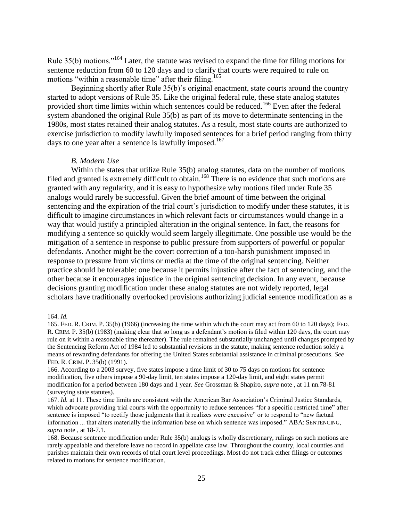Rule 35(b) motions."<sup>164</sup> Later, the statute was revised to expand the time for filing motions for sentence reduction from 60 to 120 days and to clarify that courts were required to rule on motions "within a reasonable time" after their filing.<sup>165</sup>

Beginning shortly after Rule 35(b)'s original enactment, state courts around the country started to adopt versions of Rule 35. Like the original federal rule, these state analog statutes provided short time limits within which sentences could be reduced.<sup>166</sup> Even after the federal system abandoned the original Rule 35(b) as part of its move to determinate sentencing in the 1980s, most states retained their analog statutes. As a result, most state courts are authorized to exercise jurisdiction to modify lawfully imposed sentences for a brief period ranging from thirty days to one year after a sentence is lawfully imposed.<sup>167</sup>

#### *B. Modern Use*

Within the states that utilize Rule 35(b) analog statutes, data on the number of motions filed and granted is extremely difficult to obtain.<sup>168</sup> There is no evidence that such motions are granted with any regularity, and it is easy to hypothesize why motions filed under Rule 35 analogs would rarely be successful. Given the brief amount of time between the original sentencing and the expiration of the trial court's jurisdiction to modify under these statutes, it is difficult to imagine circumstances in which relevant facts or circumstances would change in a way that would justify a principled alteration in the original sentence. In fact, the reasons for modifying a sentence so quickly would seem largely illegitimate. One possible use would be the mitigation of a sentence in response to public pressure from supporters of powerful or popular defendants. Another might be the covert correction of a too-harsh punishment imposed in response to pressure from victims or media at the time of the original sentencing. Neither practice should be tolerable: one because it permits injustice after the fact of sentencing, and the other because it encourages injustice in the original sentencing decision. In any event, because decisions granting modification under these analog statutes are not widely reported, legal scholars have traditionally overlooked provisions authorizing judicial sentence modification as a

<sup>164.</sup> *Id.*

<sup>165.</sup> FED. R. CRIM. P. 35(b) (1966) (increasing the time within which the court may act from 60 to 120 days); FED. R. CRIM. P. 35(b) (1983) (making clear that so long as a defendant"s motion is filed within 120 days, the court may rule on it within a reasonable time thereafter). The rule remained substantially unchanged until changes prompted by the Sentencing Reform Act of 1984 led to substantial revisions in the statute, making sentence reduction solely a means of rewarding defendants for offering the United States substantial assistance in criminal prosecutions. *See* FED. R. CRIM. P. 35(b) (1991).

<sup>166.</sup> According to a 2003 survey, five states impose a time limit of 30 to 75 days on motions for sentence modification, five others impose a 90-day limit, ten states impose a 120-day limit, and eight states permit modification for a period between 180 days and 1 year. *See* Grossman & Shapiro, *supra* note , at 11 nn.78-81 (surveying state statutes).

<sup>167.</sup> *Id.* at 11. These time limits are consistent with the American Bar Association"s Criminal Justice Standards, which advocate providing trial courts with the opportunity to reduce sentences "for a specific restricted time" after sentence is imposed "to rectify those judgments that it realizes were excessive" or to respond to "new factual information ... that alters materially the information base on which sentence was imposed." ABA: SENTENCING, *supra* note , at 18-7.1.

<sup>168.</sup> Because sentence modification under Rule 35(b) analogs is wholly discretionary, rulings on such motions are rarely appealable and therefore leave no record in appellate case law. Throughout the country, local counties and parishes maintain their own records of trial court level proceedings. Most do not track either filings or outcomes related to motions for sentence modification.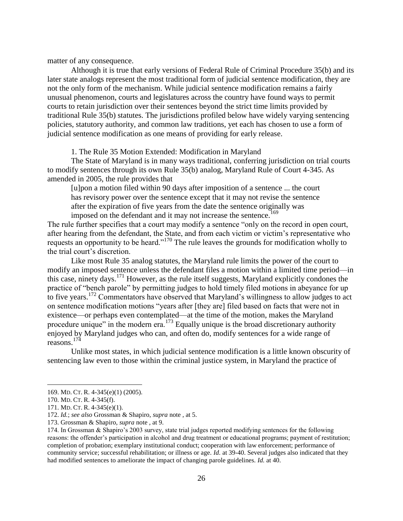matter of any consequence.

Although it is true that early versions of Federal Rule of Criminal Procedure 35(b) and its later state analogs represent the most traditional form of judicial sentence modification, they are not the only form of the mechanism. While judicial sentence modification remains a fairly unusual phenomenon, courts and legislatures across the country have found ways to permit courts to retain jurisdiction over their sentences beyond the strict time limits provided by traditional Rule 35(b) statutes. The jurisdictions profiled below have widely varying sentencing policies, statutory authority, and common law traditions, yet each has chosen to use a form of judicial sentence modification as one means of providing for early release.

1. The Rule 35 Motion Extended: Modification in Maryland

The State of Maryland is in many ways traditional, conferring jurisdiction on trial courts to modify sentences through its own Rule 35(b) analog, Maryland Rule of Court 4-345. As amended in 2005, the rule provides that

[u]pon a motion filed within 90 days after imposition of a sentence ... the court has revisory power over the sentence except that it may not revise the sentence after the expiration of five years from the date the sentence originally was imposed on the defendant and it may not increase the sentence.<sup>169</sup>

The rule further specifies that a court may modify a sentence "only on the record in open court, after hearing from the defendant, the State, and from each victim or victim's representative who requests an opportunity to be heard."<sup>170</sup> The rule leaves the grounds for modification wholly to the trial court's discretion.

Like most Rule 35 analog statutes, the Maryland rule limits the power of the court to modify an imposed sentence unless the defendant files a motion within a limited time period—in this case, ninety days.<sup>171</sup> However, as the rule itself suggests, Maryland explicitly condones the practice of "bench parole" by permitting judges to hold timely filed motions in abeyance for up to five years.<sup>172</sup> Commentators have observed that Maryland's willingness to allow judges to act on sentence modification motions "years after [they are] filed based on facts that were not in existence—or perhaps even contemplated—at the time of the motion, makes the Maryland procedure unique" in the modern era.<sup>173</sup> Equally unique is the broad discretionary authority enjoyed by Maryland judges who can, and often do, modify sentences for a wide range of reasons.<sup>174</sup>

Unlike most states, in which judicial sentence modification is a little known obscurity of sentencing law even to those within the criminal justice system, in Maryland the practice of

<sup>169.</sup> MD. CT. R. 4-345(e)(1) (2005).

<sup>170.</sup> MD. CT. R. 4-345(f).

<sup>171.</sup> MD. CT. R. 4-345(e)(1).

<sup>172.</sup> *Id.*; *see also* Grossman & Shapiro, *supra* note , at 5.

<sup>173.</sup> Grossman & Shapiro, *supra* note , at 9.

<sup>174.</sup> In Grossman & Shapiro"s 2003 survey, state trial judges reported modifying sentences for the following reasons: the offender"s participation in alcohol and drug treatment or educational programs; payment of restitution; completion of probation; exemplary institutional conduct; cooperation with law enforcement; performance of community service; successful rehabilitation; or illness or age. *Id.* at 39-40. Several judges also indicated that they had modified sentences to ameliorate the impact of changing parole guidelines. *Id.* at 40.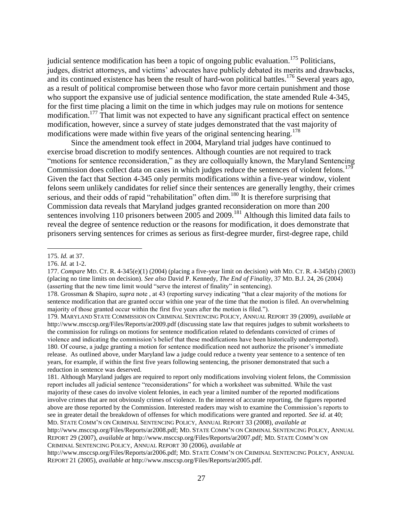judicial sentence modification has been a topic of ongoing public evaluation.<sup>175</sup> Politicians, judges, district attorneys, and victims" advocates have publicly debated its merits and drawbacks, and its continued existence has been the result of hard-won political battles.<sup>176</sup> Several years ago, as a result of political compromise between those who favor more certain punishment and those who support the expansive use of judicial sentence modification, the state amended Rule 4-345, for the first time placing a limit on the time in which judges may rule on motions for sentence modification.<sup>177</sup> That limit was not expected to have any significant practical effect on sentence modification, however, since a survey of state judges demonstrated that the vast majority of modifications were made within five years of the original sentencing hearing.<sup>178</sup>

Since the amendment took effect in 2004, Maryland trial judges have continued to exercise broad discretion to modify sentences. Although counties are not required to track "motions for sentence reconsideration," as they are colloquially known, the Maryland Sentencing Commission does collect data on cases in which judges reduce the sentences of violent felons.<sup>179</sup> Given the fact that Section 4-345 only permits modifications within a five-year window, violent felons seem unlikely candidates for relief since their sentences are generally lengthy, their crimes serious, and their odds of rapid "rehabilitation" often dim.<sup>180</sup> It is therefore surprising that Commission data reveals that Maryland judges granted reconsideration on more than 200 sentences involving 110 prisoners between 2005 and 2009.<sup>181</sup> Although this limited data fails to reveal the degree of sentence reduction or the reasons for modification, it does demonstrate that prisoners serving sentences for crimes as serious as first-degree murder, first-degree rape, child

 $\overline{a}$ 

181. Although Maryland judges are required to report only modifications involving violent felons, the Commission report includes all judicial sentence "reconsiderations" for which a worksheet was submitted. While the vast majority of these cases do involve violent felonies, in each year a limited number of the reported modifications involve crimes that are not obviously crimes of violence. In the interest of accurate reporting, the figures reported above are those reported by the Commission. Interested readers may wish to examine the Commission"s reports to see in greater detail the breakdown of offenses for which modifications were granted and reported. *See id.* at 40; MD. STATE COMM"N ON CRIMINAL SENTENCING POLICY, ANNUAL REPORT 33 (2008), *available at*

http://www.msccsp.org/Files/Reports/ar2008.pdf; MD. STATE COMM"N ON CRIMINAL SENTENCING POLICY, ANNUAL REPORT 29 (2007), *available at* http://www.msccsp.org/Files/Reports/ar2007.pdf; MD. STATE COMM"N ON CRIMINAL SENTENCING POLICY, ANNUAL REPORT 30 (2006), *available at*

http://www.msccsp.org/Files/Reports/ar2006.pdf; MD. STATE COMM"N ON CRIMINAL SENTENCING POLICY, ANNUAL REPORT 21 (2005), *available at* http://www.msccsp.org/Files/Reports/ar2005.pdf.

<sup>175.</sup> *Id.* at 37.

<sup>176.</sup> *Id.* at 1-2.

<sup>177.</sup> *Compare* MD. CT. R. 4-345(e)(1) (2004) (placing a five-year limit on decision) *with* MD. CT. R. 4-345(b) (2003) (placing no time limits on decision). *See also* David P. Kennedy, *The End of Finality*, 37 MD. B.J. 24, 26 (2004) (asserting that the new time limit would "serve the interest of finality" in sentencing).

<sup>178.</sup> Grossman & Shapiro, *supra* note , at 43 (reporting survey indicating "that a clear majority of the motions for sentence modification that are granted occur within one year of the time that the motion is filed. An overwhelming majority of those granted occur within the first five years after the motion is filed.").

<sup>179.</sup> MARYLAND STATE COMMISSION ON CRIMINAL SENTENCING POLICY, ANNUAL REPORT 39 (2009), *available at*  http://www.msccsp.org/Files/Reports/ar2009.pdf (discussing state law that requires judges to submit worksheets to the commission for rulings on motions for sentence modification related to defendants convicted of crimes of violence and indicating the commission"s belief that these modifications have been historically underreported). 180. Of course, a judge granting a motion for sentence modification need not authorize the prisoner"s immediate release. As outlined above, under Maryland law a judge could reduce a twenty year sentence to a sentence of ten years, for example, if within the first five years following sentencing, the prisoner demonstrated that such a reduction in sentence was deserved.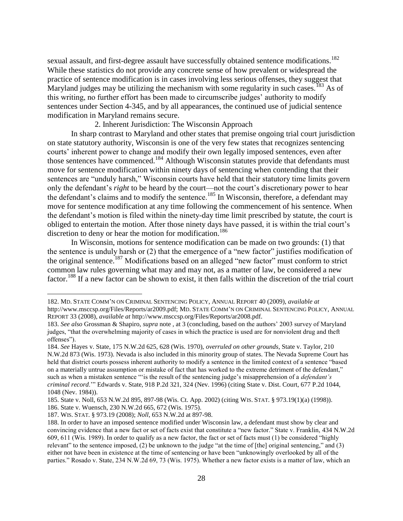sexual assault, and first-degree assault have successfully obtained sentence modifications.<sup>182</sup> While these statistics do not provide any concrete sense of how prevalent or widespread the practice of sentence modification is in cases involving less serious offenses, they suggest that Maryland judges may be utilizing the mechanism with some regularity in such cases.<sup>183</sup> As of this writing, no further effort has been made to circumscribe judges' authority to modify sentences under Section 4-345, and by all appearances, the continued use of judicial sentence modification in Maryland remains secure.

#### 2. Inherent Jurisdiction: The Wisconsin Approach

In sharp contrast to Maryland and other states that premise ongoing trial court jurisdiction on state statutory authority, Wisconsin is one of the very few states that recognizes sentencing courts' inherent power to change and modify their own legally imposed sentences, even after those sentences have commenced.<sup>184</sup> Although Wisconsin statutes provide that defendants must move for sentence modification within ninety days of sentencing when contending that their sentences are "unduly harsh," Wisconsin courts have held that their statutory time limits govern only the defendant's *right* to be heard by the court—not the court's discretionary power to hear the defendant's claims and to modify the sentence.<sup>185</sup> In Wisconsin, therefore, a defendant may move for sentence modification at any time following the commencement of his sentence. When the defendant"s motion is filed within the ninety-day time limit prescribed by statute, the court is obliged to entertain the motion. After those ninety days have passed, it is within the trial court"s discretion to deny or hear the motion for modification.<sup>186</sup>

In Wisconsin, motions for sentence modification can be made on two grounds: (1) that the sentence is unduly harsh or (2) that the emergence of a "new factor" justifies modification of the original sentence.<sup>187</sup> Modifications based on an alleged "new factor" must conform to strict common law rules governing what may and may not, as a matter of law, be considered a new factor.<sup>188</sup> If a new factor can be shown to exist, it then falls within the discretion of the trial court

<sup>182.</sup> MD. STATE COMM"N ON CRIMINAL SENTENCING POLICY, ANNUAL REPORT 40 (2009), *available at* http://www.msccsp.org/Files/Reports/ar2009.pdf; MD. STATE COMM"N ON CRIMINAL SENTENCING POLICY, ANNUAL REPORT 33 (2008), *available at* http://www.msccsp.org/Files/Reports/ar2008.pdf.

<sup>183.</sup> *See also* Grossman & Shapiro, *supra* note , at 3 (concluding, based on the authors" 2003 survey of Maryland judges, "that the overwhelming majority of cases in which the practice is used are for nonviolent drug and theft offenses").

<sup>184.</sup> *See* Hayes v. State, 175 N.W.2d 625, 628 (Wis. 1970), *overruled on other grounds*, State v. Taylor, 210 N.W.2d 873 (Wis. 1973). Nevada is also included in this minority group of states. The Nevada Supreme Court has held that district courts possess inherent authority to modify a sentence in the limited context of a sentence "based on a materially untrue assumption or mistake of fact that has worked to the extreme detriment of the defendant," such as when a mistaken sentence ""is the result of the sentencing judge's misapprehension of a *defendant's criminal record*."" Edwards v. State, 918 P.2d 321, 324 (Nev. 1996) (citing State v. Dist. Court, 677 P.2d 1044, 1048 (Nev. 1984)).

<sup>185.</sup> State v. Noll, 653 N.W.2d 895, 897-98 (Wis. Ct. App. 2002) (citing WIS. STAT. § 973.19(1)(a) (1998)).

<sup>186.</sup> State v. Wuensch, 230 N.W.2d 665, 672 (Wis. 1975).

<sup>187.</sup> WIS. STAT. § 973.19 (2008); *Noll*, 653 N.W.2d at 897-98.

<sup>188.</sup> In order to have an imposed sentence modified under Wisconsin law, a defendant must show by clear and convincing evidence that a new fact or set of facts exist that constitute a "new factor." State v. Franklin, 434 N.W.2d 609, 611 (Wis. 1989). In order to qualify as a new factor, the fact or set of facts must (1) be considered "highly relevant" to the sentence imposed, (2) be unknown to the judge "at the time of [the] original sentencing," and (3) either not have been in existence at the time of sentencing or have been "unknowingly overlooked by all of the parties." Rosado v. State, 234 N.W.2d 69, 73 (Wis. 1975). Whether a new factor exists is a matter of law, which an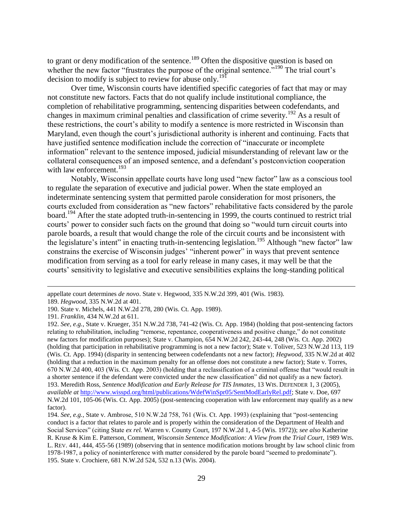to grant or deny modification of the sentence.<sup>189</sup> Often the dispositive question is based on whether the new factor "frustrates the purpose of the original sentence."<sup>190</sup> The trial court's decision to modify is subject to review for abuse only.<sup>191</sup>

Over time, Wisconsin courts have identified specific categories of fact that may or may not constitute new factors. Facts that do not qualify include institutional compliance, the completion of rehabilitative programming, sentencing disparities between codefendants, and changes in maximum criminal penalties and classification of crime severity.<sup>192</sup> As a result of these restrictions, the court's ability to modify a sentence is more restricted in Wisconsin than Maryland, even though the court's jurisdictional authority is inherent and continuing. Facts that have justified sentence modification include the correction of "inaccurate or incomplete information" relevant to the sentence imposed, judicial misunderstanding of relevant law or the collateral consequences of an imposed sentence, and a defendant"s postconviction cooperation with law enforcement. $193$ 

Notably, Wisconsin appellate courts have long used "new factor" law as a conscious tool to regulate the separation of executive and judicial power. When the state employed an indeterminate sentencing system that permitted parole consideration for most prisoners, the courts excluded from consideration as "new factors" rehabilitative facts considered by the parole board.<sup>194</sup> After the state adopted truth-in-sentencing in 1999, the courts continued to restrict trial courts" power to consider such facts on the ground that doing so "would turn circuit courts into parole boards, a result that would change the role of the circuit courts and be inconsistent with the legislature's intent" in enacting truth-in-sentencing legislation.<sup>195</sup> Although "new factor" law constrains the exercise of Wisconsin judges' "inherent power" in ways that prevent sentence modification from serving as a tool for early release in many cases, it may well be that the courts" sensitivity to legislative and executive sensibilities explains the long-standing political

appellate court determines *de novo*. State v. Hegwood, 335 N.W.2d 399, 401 (Wis. 1983).

<sup>189.</sup> *Hegwood*, 335 N.W.2d at 401.

<sup>190.</sup> State v. Michels, 441 N.W.2d 278, 280 (Wis. Ct. App. 1989).

<sup>191.</sup> *Franklin*, 434 N.W.2d at 611.

<sup>192.</sup> *See, e.g.*, State v. Krueger, 351 N.W.2d 738, 741-42 (Wis. Ct. App. 1984) (holding that post-sentencing factors relating to rehabilitation, including "remorse, repentance, cooperativeness and positive change," do not constitute new factors for modification purposes); State v. Champion, 654 N.W.2d 242, 243-44, 248 (Wis. Ct. App. 2002) (holding that participation in rehabilitative programming is not a new factor); State v. Toliver, 523 N.W.2d 113, 119 (Wis. Ct. App. 1994) (disparity in sentencing between codefendants not a new factor); *Hegwood*, 335 N.W.2d at 402 (holding that a reduction in the maximum penalty for an offense does not constitute a new factor); State v. Torres, 670 N.W.2d 400, 403 (Wis. Ct. App. 2003) (holding that a reclassification of a criminal offense that "would result in a shorter sentence if the defendant were convicted under the new classification" did not qualify as a new factor). 193. Meredith Ross, *Sentence Modification and Early Release for TIS Inmates*, 13 WIS. DEFENDER 1, 3 (2005), *available at* [http://www.wisspd.org/html/publications/WdefWinSpr05/SentModEarlyRel.pdf;](http://www.wisspd.org/html/publications/WdefWinSpr05/SentModEarlyRel.pdf) State v. Doe, 697 N.W.2d 101, 105-06 (Wis. Ct. App. 2005) (post-sentencing cooperation with law enforcement may qualify as a new factor).

<sup>194.</sup> *See, e.g.*, State v. Ambrose, 510 N.W.2d 758, 761 (Wis. Ct. App. 1993) (explaining that "post-sentencing conduct is a factor that relates to parole and is properly within the consideration of the Department of Health and Social Services" (citing State *ex rel.* Warren v. County Court, 197 N.W.2d 1, 4-5 (Wis. 1972)); *see also* Katherine R. Kruse & Kim E. Patterson, Comment, *Wisconsin Sentence Modification: A View from the Trial Court*, 1989 WIS. L. REV. 441, 444, 455-56 (1989) (observing that in sentence modification motions brought by law school clinic from 1978-1987, a policy of noninterference with matter considered by the parole board "seemed to predominate"). 195. State v. Crochiere, 681 N.W.2d 524, 532 n.13 (Wis. 2004).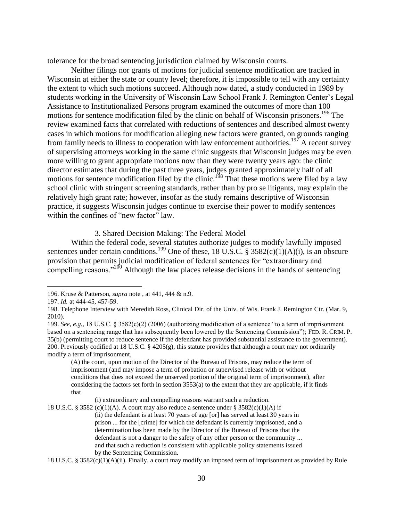tolerance for the broad sentencing jurisdiction claimed by Wisconsin courts.

Neither filings nor grants of motions for judicial sentence modification are tracked in Wisconsin at either the state or county level; therefore, it is impossible to tell with any certainty the extent to which such motions succeed. Although now dated, a study conducted in 1989 by students working in the University of Wisconsin Law School Frank J. Remington Center"s Legal Assistance to Institutionalized Persons program examined the outcomes of more than 100 motions for sentence modification filed by the clinic on behalf of Wisconsin prisoners.<sup>196</sup> The review examined facts that correlated with reductions of sentences and described almost twenty cases in which motions for modification alleging new factors were granted, on grounds ranging from family needs to illness to cooperation with law enforcement authorities.<sup>197</sup> A recent survey of supervising attorneys working in the same clinic suggests that Wisconsin judges may be even more willing to grant appropriate motions now than they were twenty years ago: the clinic director estimates that during the past three years, judges granted approximately half of all motions for sentence modification filed by the clinic.<sup>198</sup> That these motions were filed by a law school clinic with stringent screening standards, rather than by pro se litigants, may explain the relatively high grant rate; however, insofar as the study remains descriptive of Wisconsin practice, it suggests Wisconsin judges continue to exercise their power to modify sentences within the confines of "new factor" law.

3. Shared Decision Making: The Federal Model

Within the federal code, several statutes authorize judges to modify lawfully imposed sentences under certain conditions.<sup>199</sup> One of these, 18 U.S.C. § 3582(c)(1)(A)(i), is an obscure provision that permits judicial modification of federal sentences for "extraordinary and compelling reasons."<sup>200</sup> Although the law places release decisions in the hands of sentencing

 $\overline{a}$ 

(A) the court, upon motion of the Director of the Bureau of Prisons, may reduce the term of imprisonment (and may impose a term of probation or supervised release with or without conditions that does not exceed the unserved portion of the original term of imprisonment), after considering the factors set forth in section 3553(a) to the extent that they are applicable, if it finds that

(i) extraordinary and compelling reasons warrant such a reduction.

<sup>196.</sup> Kruse & Patterson, *supra* note , at 441, 444 & n.9.

<sup>197.</sup> *Id.* at 444-45, 457-59.

<sup>198.</sup> Telephone Interview with Meredith Ross, Clinical Dir. of the Univ. of Wis. Frank J. Remington Ctr. (Mar. 9, 2010).

<sup>199.</sup> *See, e.g.*, 18 U.S.C. § 3582(c)(2) (2006) (authorizing modification of a sentence "to a term of imprisonment based on a sentencing range that has subsequently been lowered by the Sentencing Commission"); FED. R. CRIM. P. 35(b) (permitting court to reduce sentence if the defendant has provided substantial assistance to the government). 200. Previously codified at 18 U.S.C. § 4205(g), this statute provides that although a court may not ordinarily modify a term of imprisonment,

<sup>18</sup> U.S.C. § 3582 (c)(1)(A). A court may also reduce a sentence under § 3582(c)(1)(A) if (ii) the defendant is at least 70 years of age [or] has served at least 30 years in prison ... for the [crime] for which the defendant is currently imprisoned, and a determination has been made by the Director of the Bureau of Prisons that the defendant is not a danger to the safety of any other person or the community ... and that such a reduction is consistent with applicable policy statements issued by the Sentencing Commission.

<sup>18</sup> U.S.C. § 3582(c)(1)(A)(ii). Finally, a court may modify an imposed term of imprisonment as provided by Rule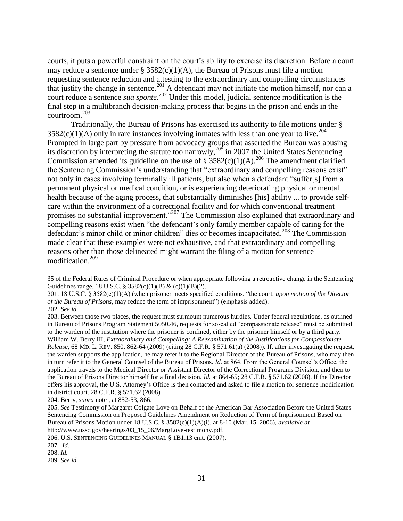courts, it puts a powerful constraint on the court's ability to exercise its discretion. Before a court may reduce a sentence under §  $3582(c)(1)(A)$ , the Bureau of Prisons must file a motion requesting sentence reduction and attesting to the extraordinary and compelling circumstances that justify the change in sentence.<sup>201</sup> A defendant may not initiate the motion himself, nor can a court reduce a sentence *sua sponte*. <sup>202</sup> Under this model, judicial sentence modification is the final step in a multibranch decision-making process that begins in the prison and ends in the courtroom.<sup>203</sup>

Traditionally, the Bureau of Prisons has exercised its authority to file motions under §  $3582(c)(1)(A)$  only in rare instances involving inmates with less than one year to live.<sup>204</sup> Prompted in large part by pressure from advocacy groups that asserted the Bureau was abusing its discretion by interpreting the statute too narrowly,<sup>205</sup> in 2007 the United States Sentencing Commission amended its guideline on the use of §  $3582(c)(1)(A)$ .<sup>206</sup> The amendment clarified the Sentencing Commission"s understanding that "extraordinary and compelling reasons exist" not only in cases involving terminally ill patients, but also when a defendant "suffer[s] from a permanent physical or medical condition, or is experiencing deteriorating physical or mental health because of the aging process, that substantially diminishes [his] ability ... to provide selfcare within the environment of a correctional facility and for which conventional treatment promises no substantial improvement."<sup>207</sup> The Commission also explained that extraordinary and compelling reasons exist when "the defendant's only family member capable of caring for the defendant's minor child or minor children" dies or becomes incapacitated.<sup>208</sup> The Commission made clear that these examples were not exhaustive, and that extraordinary and compelling reasons other than those delineated might warrant the filing of a motion for sentence modification.<sup>209</sup>

<sup>35</sup> of the Federal Rules of Criminal Procedure or when appropriate following a retroactive change in the Sentencing Guidelines range. 18 U.S.C. § 3582(c)(1)(B) & (c)(1)(B)(2).

<sup>201. 18</sup> U.S.C. § 3582(c)(1)(A) (when prisoner meets specified conditions, "the court, *upon motion of the Director of the Bureau of Prisons*, may reduce the term of imprisonment") (emphasis added).

<sup>202.</sup> *See id.*

<sup>203.</sup> Between those two places, the request must surmount numerous hurdles. Under federal regulations, as outlined in Bureau of Prisons Program Statement 5050.46, requests for so-called "compassionate release" must be submitted to the warden of the institution where the prisoner is confined, either by the prisoner himself or by a third party. William W. Berry III, *Extraordinary and Compelling: A Reexamination of the Justifications for Compassionate Release*, 68 MD. L. REV. 850, 862-64 (2009) (citing 28 C.F.R. § 571.61(a) (2008)). If, after investigating the request, the warden supports the application, he may refer it to the Regional Director of the Bureau of Prisons, who may then in turn refer it to the General Counsel of the Bureau of Prisons. *Id.* at 864. From the General Counsel"s Office, the application travels to the Medical Director or Assistant Director of the Correctional Programs Division, and then to the Bureau of Prisons Director himself for a final decision. *Id.* at 864-65; 28 C.F.R. § 571.62 (2008). If the Director offers his approval, the U.S. Attorney"s Office is then contacted and asked to file a motion for sentence modification in district court. 28 C.F.R. § 571.62 (2008).

<sup>204.</sup> Berry, *supra* note , at 852-53, 866.

<sup>205.</sup> *See* Testimony of Margaret Colgate Love on Behalf of the American Bar Association Before the United States Sentencing Commission on Proposed Guidelines Amendment on Reduction of Term of Imprisonment Based on Bureau of Prisons Motion under 18 U.S.C. § 3582(c)(1)(A)(i), at 8-10 (Mar. 15, 2006), *available at* http://www.ussc.gov/hearings/03\_15\_06/MargLove-testimony.pdf.

<sup>206.</sup> U.S. SENTENCING GUIDELINES MANUAL § 1B1.13 cmt. (2007).

<sup>207.</sup> *Id.*

<sup>208.</sup> *Id.*

<sup>209.</sup> *See id.*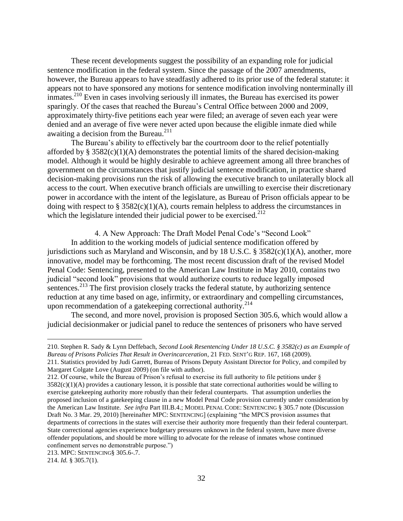These recent developments suggest the possibility of an expanding role for judicial sentence modification in the federal system. Since the passage of the 2007 amendments, however, the Bureau appears to have steadfastly adhered to its prior use of the federal statute: it appears not to have sponsored any motions for sentence modification involving nonterminally ill inmates.<sup>210</sup> Even in cases involving seriously ill inmates, the Bureau has exercised its power sparingly. Of the cases that reached the Bureau's Central Office between 2000 and 2009. approximately thirty-five petitions each year were filed; an average of seven each year were denied and an average of five were never acted upon because the eligible inmate died while awaiting a decision from the Bureau. $^{211}$ 

The Bureau's ability to effectively bar the courtroom door to the relief potentially afforded by  $\S 3582(c)(1)(A)$  demonstrates the potential limits of the shared decision-making model. Although it would be highly desirable to achieve agreement among all three branches of government on the circumstances that justify judicial sentence modification, in practice shared decision-making provisions run the risk of allowing the executive branch to unilaterally block all access to the court. When executive branch officials are unwilling to exercise their discretionary power in accordance with the intent of the legislature, as Bureau of Prison officials appear to be doing with respect to  $\S 3582(c)(1)(A)$ , courts remain helpless to address the circumstances in which the legislature intended their judicial power to be exercised. $^{212}$ 

4. A New Approach: The Draft Model Penal Code"s "Second Look"

In addition to the working models of judicial sentence modification offered by jurisdictions such as Maryland and Wisconsin, and by 18 U.S.C.  $\S$  3582(c)(1)(A), another, more innovative, model may be forthcoming. The most recent discussion draft of the revised Model Penal Code: Sentencing, presented to the American Law Institute in May 2010, contains two judicial "second look" provisions that would authorize courts to reduce legally imposed sentences.<sup>213</sup> The first provision closely tracks the federal statute, by authorizing sentence reduction at any time based on age, infirmity, or extraordinary and compelling circumstances, upon recommendation of a gatekeeping correctional authority. 214

The second, and more novel, provision is proposed Section 305.6, which would allow a judicial decisionmaker or judicial panel to reduce the sentences of prisoners who have served

<sup>210.</sup> Stephen R. Sady & Lynn Deffebach, *Second Look Resentencing Under 18 U.S.C. § 3582(c) as an Example of Bureau of Prisons Policies That Result in Overincarceration*, 21 FED. SENT"G REP. 167, 168 (2009).

<sup>211.</sup> Statistics provided by Judi Garrett, Bureau of Prisons Deputy Assistant Director for Policy, and compiled by Margaret Colgate Love (August 2009) (on file with author).

<sup>212.</sup> Of course, while the Bureau of Prison"s refusal to exercise its full authority to file petitions under §  $3582(c)(1)(A)$  provides a cautionary lesson, it is possible that state correctional authorities would be willing to exercise gatekeeping authority more robustly than their federal counterparts. That assumption underlies the proposed inclusion of a gatekeeping clause in a new Model Penal Code provision currently under consideration by the American Law Institute. *See infra* Part III.B.4.; MODEL PENAL CODE: SENTENCING § 305.7 note (Discussion Draft No. 3 Mar. 29, 2010) [hereinafter MPC: SENTENCING] (explaining "the MPCS provision assumes that departments of corrections in the states will exercise their authority more frequently than their federal counterpart. State correctional agencies experience budgetary pressures unknown in the federal system, have more diverse offender populations, and should be more willing to advocate for the release of inmates whose continued confinement serves no demonstrable purpose.")

<sup>213.</sup> MPC: SENTENCING§ 305.6-.7.

<sup>214.</sup> *Id.* § 305.7(1).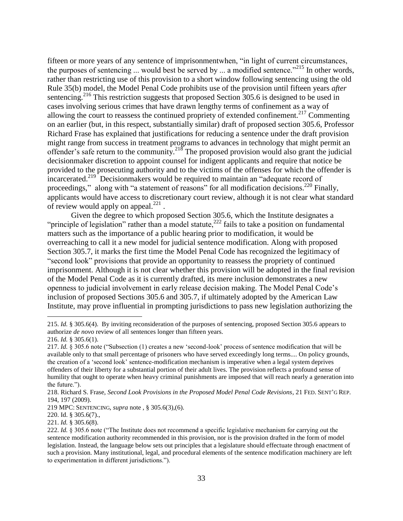fifteen or more years of any sentence of imprisonmentwhen, "in light of current circumstances, the purposes of sentencing ... would best be served by ... a modified sentence."<sup>215</sup> In other words, rather than restricting use of this provision to a short window following sentencing using the old Rule 35(b) model, the Model Penal Code prohibits use of the provision until fifteen years *after*  sentencing.<sup>216</sup> This restriction suggests that proposed Section 305.6 is designed to be used in cases involving serious crimes that have drawn lengthy terms of confinement as a way of allowing the court to reassess the continued propriety of extended confinement.<sup>217</sup> Commenting on an earlier (but, in this respect, substantially similar) draft of proposed section 305.6, Professor Richard Frase has explained that justifications for reducing a sentence under the draft provision might range from success in treatment programs to advances in technology that might permit an offender's safe return to the community.<sup>218</sup> The proposed provision would also grant the judicial decisionmaker discretion to appoint counsel for indigent applicants and require that notice be provided to the prosecuting authority and to the victims of the offenses for which the offender is incarcerated.<sup>219</sup> Decisionmakers would be required to maintain an "adequate record of proceedings," along with "a statement of reasons" for all modification decisions.<sup>220</sup> Finally, applicants would have access to discretionary court review, although it is not clear what standard of review would apply on appeal. $^{221}$ .

Given the degree to which proposed Section 305.6, which the Institute designates a "principle of legislation" rather than a model statute,<sup>222</sup> fails to take a position on fundamental matters such as the importance of a public hearing prior to modification, it would be overreaching to call it a new model for judicial sentence modification. Along with proposed Section 305.7, it marks the first time the Model Penal Code has recognized the legitimacy of "second look" provisions that provide an opportunity to reassess the propriety of continued imprisonment. Although it is not clear whether this provision will be adopted in the final revision of the Model Penal Code as it is currently drafted, its mere inclusion demonstrates a new openness to judicial involvement in early release decision making. The Model Penal Code"s inclusion of proposed Sections 305.6 and 305.7, if ultimately adopted by the American Law Institute, may prove influential in prompting jurisdictions to pass new legislation authorizing the

<sup>215.</sup> *Id.* § 305.6(4). By inviting reconsideration of the purposes of sentencing, proposed Section 305.6 appears to authorize *de novo* review of all sentences longer than fifteen years. 216. *Id.* § 305.6(1).

<sup>217.</sup> *Id.* § 305.6 note ("Subsection (1) creates a new "second-look" process of sentence modification that will be available only to that small percentage of prisoners who have served exceedingly long terms.... On policy grounds, the creation of a "second look" sentence-modification mechanism is imperative when a legal system deprives offenders of their liberty for a substantial portion of their adult lives. The provision reflects a profound sense of humility that ought to operate when heavy criminal punishments are imposed that will reach nearly a generation into the future.").

<sup>218.</sup> Richard S. Frase, *Second Look Provisions in the Proposed Model Penal Code Revisions*, 21 FED. SENT"G REP. 194, 197 (2009).

<sup>219</sup> MPC: SENTENCING, *supra* note , § 305.6(3),(6).

<sup>220.</sup> Id. § 305.6(7).,

<sup>221.</sup> *Id.* § 305.6(8).

<sup>222.</sup> *Id.* § 305.6 note ("The Institute does not recommend a specific legislative mechanism for carrying out the sentence modification authority recommended in this provision, nor is the provision drafted in the form of model legislation. Instead, the language below sets out principles that a legislature should effectuate through enactment of such a provision. Many institutional, legal, and procedural elements of the sentence modification machinery are left to experimentation in different jurisdictions.").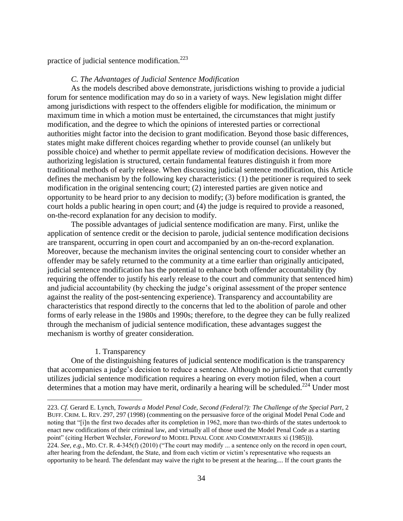practice of judicial sentence modification.<sup>223</sup>

## *C. The Advantages of Judicial Sentence Modification*

As the models described above demonstrate, jurisdictions wishing to provide a judicial forum for sentence modification may do so in a variety of ways. New legislation might differ among jurisdictions with respect to the offenders eligible for modification, the minimum or maximum time in which a motion must be entertained, the circumstances that might justify modification, and the degree to which the opinions of interested parties or correctional authorities might factor into the decision to grant modification. Beyond those basic differences, states might make different choices regarding whether to provide counsel (an unlikely but possible choice) and whether to permit appellate review of modification decisions. However the authorizing legislation is structured, certain fundamental features distinguish it from more traditional methods of early release. When discussing judicial sentence modification, this Article defines the mechanism by the following key characteristics: (1) the petitioner is required to seek modification in the original sentencing court; (2) interested parties are given notice and opportunity to be heard prior to any decision to modify; (3) before modification is granted, the court holds a public hearing in open court; and (4) the judge is required to provide a reasoned, on-the-record explanation for any decision to modify.

The possible advantages of judicial sentence modification are many. First, unlike the application of sentence credit or the decision to parole, judicial sentence modification decisions are transparent, occurring in open court and accompanied by an on-the-record explanation. Moreover, because the mechanism invites the original sentencing court to consider whether an offender may be safely returned to the community at a time earlier than originally anticipated, judicial sentence modification has the potential to enhance both offender accountability (by requiring the offender to justify his early release to the court and community that sentenced him) and judicial accountability (by checking the judge's original assessment of the proper sentence against the reality of the post-sentencing experience). Transparency and accountability are characteristics that respond directly to the concerns that led to the abolition of parole and other forms of early release in the 1980s and 1990s; therefore, to the degree they can be fully realized through the mechanism of judicial sentence modification, these advantages suggest the mechanism is worthy of greater consideration.

#### 1. Transparency

 $\overline{a}$ 

One of the distinguishing features of judicial sentence modification is the transparency that accompanies a judge"s decision to reduce a sentence. Although no jurisdiction that currently utilizes judicial sentence modification requires a hearing on every motion filed, when a court determines that a motion may have merit, ordinarily a hearing will be scheduled.<sup>224</sup> Under most

<sup>223.</sup> *Cf.* Gerard E. Lynch, *Towards a Model Penal Code, Second (Federal?): The Challenge of the Special Part*, 2 BUFF. CRIM. L. REV. 297, 297 (1998) (commenting on the persuasive force of the original Model Penal Code and noting that "[i]n the first two decades after its completion in 1962, more than two-thirds of the states undertook to enact new codifications of their criminal law, and virtually all of those used the Model Penal Code as a starting point" (citing Herbert Wechsler, *Foreword* to MODEL PENAL CODE AND COMMENTARIES xi (1985))). 224. *See, e.g.*, MD. CT. R. 4-345(f) (2010) ("The court may modify ... a sentence only on the record in open court, after hearing from the defendant, the State, and from each victim or victim"s representative who requests an opportunity to be heard. The defendant may waive the right to be present at the hearing.... If the court grants the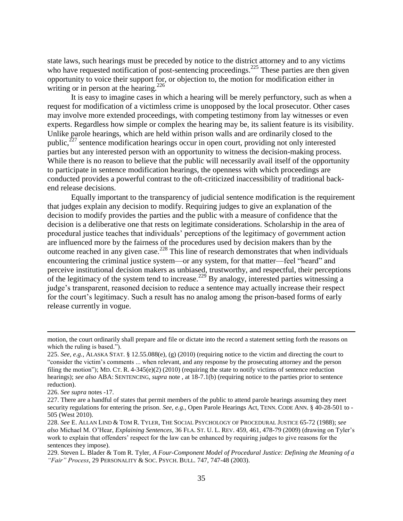state laws, such hearings must be preceded by notice to the district attorney and to any victims who have requested notification of post-sentencing proceedings.<sup>225</sup> These parties are then given opportunity to voice their support for, or objection to, the motion for modification either in writing or in person at the hearing.<sup>226</sup>

It is easy to imagine cases in which a hearing will be merely perfunctory, such as when a request for modification of a victimless crime is unopposed by the local prosecutor. Other cases may involve more extended proceedings, with competing testimony from lay witnesses or even experts. Regardless how simple or complex the hearing may be, its salient feature is its visibility. Unlike parole hearings, which are held within prison walls and are ordinarily closed to the public, $^{227}$  sentence modification hearings occur in open court, providing not only interested parties but any interested person with an opportunity to witness the decision-making process. While there is no reason to believe that the public will necessarily avail itself of the opportunity to participate in sentence modification hearings, the openness with which proceedings are conducted provides a powerful contrast to the oft-criticized inaccessibility of traditional backend release decisions.

Equally important to the transparency of judicial sentence modification is the requirement that judges explain any decision to modify. Requiring judges to give an explanation of the decision to modify provides the parties and the public with a measure of confidence that the decision is a deliberative one that rests on legitimate considerations. Scholarship in the area of procedural justice teaches that individuals" perceptions of the legitimacy of government action are influenced more by the fairness of the procedures used by decision makers than by the outcome reached in any given case.<sup>228</sup> This line of research demonstrates that when individuals encountering the criminal justice system—or any system, for that matter—feel "heard" and perceive institutional decision makers as unbiased, trustworthy, and respectful, their perceptions of the legitimacy of the system tend to increase.<sup>229</sup> By analogy, interested parties witnessing a judge"s transparent, reasoned decision to reduce a sentence may actually increase their respect for the court"s legitimacy. Such a result has no analog among the prison-based forms of early release currently in vogue.

motion, the court ordinarily shall prepare and file or dictate into the record a statement setting forth the reasons on which the ruling is based.").

<sup>225.</sup> *See, e.g.*, ALASKA STAT. § 12.55.088(e), (g) (2010) (requiring notice to the victim and directing the court to "consider the victim"s comments ... when relevant, and any response by the prosecuting attorney and the person filing the motion"); MD. CT. R.  $4-345(e)(2)$  (2010) (requiring the state to notify victims of sentence reduction hearings); *see also* ABA: SENTENCING, *supra* note , at 18-7.1(b) (requiring notice to the parties prior to sentence reduction).

<sup>226.</sup> *See supra* notes -17.

<sup>227.</sup> There are a handful of states that permit members of the public to attend parole hearings assuming they meet security regulations for entering the prison. *See, e.g.*, Open Parole Hearings Act, TENN. CODE ANN. § 40-28-501 to -505 (West 2010).

<sup>228.</sup> *See* E. ALLAN LIND & TOM R. TYLER, THE SOCIAL PSYCHOLOGY OF PROCEDURAL JUSTICE 65-72 (1988); *see also* Michael M. O"Hear, *Explaining Sentences*, 36 FLA. ST. U. L. REV. 459, 461, 478-79 (2009) (drawing on Tyler"s work to explain that offenders' respect for the law can be enhanced by requiring judges to give reasons for the sentences they impose).

<sup>229.</sup> Steven L. Blader & Tom R. Tyler, *A Four-Component Model of Procedural Justice: Defining the Meaning of a "Fair" Process*, 29 PERSONALITY & SOC. PSYCH. BULL. 747, 747-48 (2003).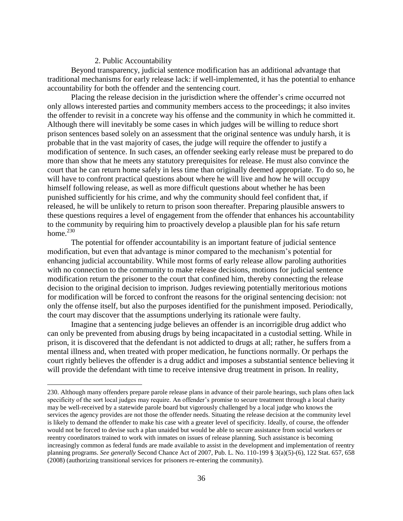#### 2. Public Accountability

 $\overline{a}$ 

Beyond transparency, judicial sentence modification has an additional advantage that traditional mechanisms for early release lack: if well-implemented, it has the potential to enhance accountability for both the offender and the sentencing court.

Placing the release decision in the jurisdiction where the offender's crime occurred not only allows interested parties and community members access to the proceedings; it also invites the offender to revisit in a concrete way his offense and the community in which he committed it. Although there will inevitably be some cases in which judges will be willing to reduce short prison sentences based solely on an assessment that the original sentence was unduly harsh, it is probable that in the vast majority of cases, the judge will require the offender to justify a modification of sentence. In such cases, an offender seeking early release must be prepared to do more than show that he meets any statutory prerequisites for release. He must also convince the court that he can return home safely in less time than originally deemed appropriate. To do so, he will have to confront practical questions about where he will live and how he will occupy himself following release, as well as more difficult questions about whether he has been punished sufficiently for his crime, and why the community should feel confident that, if released, he will be unlikely to return to prison soon thereafter. Preparing plausible answers to these questions requires a level of engagement from the offender that enhances his accountability to the community by requiring him to proactively develop a plausible plan for his safe return home. $230$ 

The potential for offender accountability is an important feature of judicial sentence modification, but even that advantage is minor compared to the mechanism"s potential for enhancing judicial accountability. While most forms of early release allow paroling authorities with no connection to the community to make release decisions, motions for judicial sentence modification return the prisoner to the court that confined him, thereby connecting the release decision to the original decision to imprison. Judges reviewing potentially meritorious motions for modification will be forced to confront the reasons for the original sentencing decision: not only the offense itself, but also the purposes identified for the punishment imposed. Periodically, the court may discover that the assumptions underlying its rationale were faulty.

Imagine that a sentencing judge believes an offender is an incorrigible drug addict who can only be prevented from abusing drugs by being incapacitated in a custodial setting. While in prison, it is discovered that the defendant is not addicted to drugs at all; rather, he suffers from a mental illness and, when treated with proper medication, he functions normally. Or perhaps the court rightly believes the offender is a drug addict and imposes a substantial sentence believing it will provide the defendant with time to receive intensive drug treatment in prison. In reality,

<sup>230.</sup> Although many offenders prepare parole release plans in advance of their parole hearings, such plans often lack specificity of the sort local judges may require. An offender's promise to secure treatment through a local charity may be well-received by a statewide parole board but vigorously challenged by a local judge who knows the services the agency provides are not those the offender needs. Situating the release decision at the community level is likely to demand the offender to make his case with a greater level of specificity. Ideally, of course, the offender would not be forced to devise such a plan unaided but would be able to secure assistance from social workers or reentry coordinators trained to work with inmates on issues of release planning. Such assistance is becoming increasingly common as federal funds are made available to assist in the development and implementation of reentry planning programs. *See generally* Second Chance Act of 2007, Pub. L. No. 110-199 § 3(a)(5)-(6), 122 Stat. 657, 658 (2008) (authorizing transitional services for prisoners re-entering the community).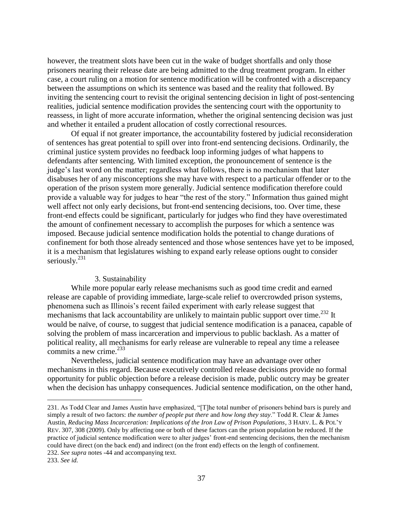however, the treatment slots have been cut in the wake of budget shortfalls and only those prisoners nearing their release date are being admitted to the drug treatment program. In either case, a court ruling on a motion for sentence modification will be confronted with a discrepancy between the assumptions on which its sentence was based and the reality that followed. By inviting the sentencing court to revisit the original sentencing decision in light of post-sentencing realities, judicial sentence modification provides the sentencing court with the opportunity to reassess, in light of more accurate information, whether the original sentencing decision was just and whether it entailed a prudent allocation of costly correctional resources.

Of equal if not greater importance, the accountability fostered by judicial reconsideration of sentences has great potential to spill over into front-end sentencing decisions. Ordinarily, the criminal justice system provides no feedback loop informing judges of what happens to defendants after sentencing. With limited exception, the pronouncement of sentence is the judge"s last word on the matter; regardless what follows, there is no mechanism that later disabuses her of any misconceptions she may have with respect to a particular offender or to the operation of the prison system more generally. Judicial sentence modification therefore could provide a valuable way for judges to hear "the rest of the story." Information thus gained might well affect not only early decisions, but front-end sentencing decisions, too. Over time, these front-end effects could be significant, particularly for judges who find they have overestimated the amount of confinement necessary to accomplish the purposes for which a sentence was imposed. Because judicial sentence modification holds the potential to change durations of confinement for both those already sentenced and those whose sentences have yet to be imposed, it is a mechanism that legislatures wishing to expand early release options ought to consider seriously. $^{231}$ 

#### 3. Sustainability

While more popular early release mechanisms such as good time credit and earned release are capable of providing immediate, large-scale relief to overcrowded prison systems, phenomena such as Illinois"s recent failed experiment with early release suggest that mechanisms that lack accountability are unlikely to maintain public support over time.<sup>232</sup> It would be naïve, of course, to suggest that judicial sentence modification is a panacea, capable of solving the problem of mass incarceration and impervious to public backlash. As a matter of political reality, all mechanisms for early release are vulnerable to repeal any time a releasee commits a new crime.<sup>233</sup>

Nevertheless, judicial sentence modification may have an advantage over other mechanisms in this regard. Because executively controlled release decisions provide no formal opportunity for public objection before a release decision is made, public outcry may be greater when the decision has unhappy consequences. Judicial sentence modification, on the other hand,

<sup>231.</sup> As Todd Clear and James Austin have emphasized, "[T]he total number of prisoners behind bars is purely and simply a result of two factors: *the number of people put there* and *how long they stay*." Todd R. Clear & James Austin, *Reducing Mass Incarceration: Implications of the Iron Law of Prison Populations*, 3 HARV. L. & POL"Y REV. 307, 308 (2009). Only by affecting one or both of these factors can the prison population be reduced. If the practice of judicial sentence modification were to alter judges" front-end sentencing decisions, then the mechanism could have direct (on the back end) and indirect (on the front end) effects on the length of confinement. 232. *See supra* notes -44 and accompanying text.

<sup>233.</sup> *See id.*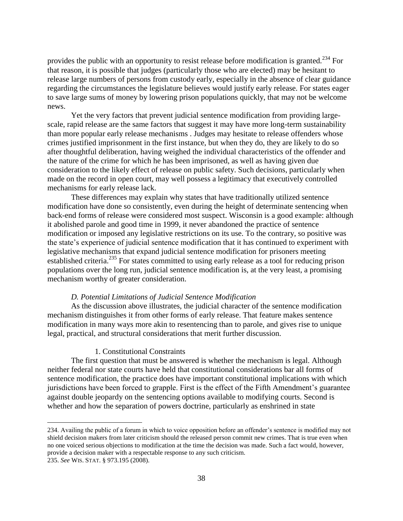provides the public with an opportunity to resist release before modification is granted.<sup>234</sup> For that reason, it is possible that judges (particularly those who are elected) may be hesitant to release large numbers of persons from custody early, especially in the absence of clear guidance regarding the circumstances the legislature believes would justify early release. For states eager to save large sums of money by lowering prison populations quickly, that may not be welcome news.

Yet the very factors that prevent judicial sentence modification from providing largescale, rapid release are the same factors that suggest it may have more long-term sustainability than more popular early release mechanisms . Judges may hesitate to release offenders whose crimes justified imprisonment in the first instance, but when they do, they are likely to do so after thoughtful deliberation, having weighed the individual characteristics of the offender and the nature of the crime for which he has been imprisoned, as well as having given due consideration to the likely effect of release on public safety. Such decisions, particularly when made on the record in open court, may well possess a legitimacy that executively controlled mechanisms for early release lack.

These differences may explain why states that have traditionally utilized sentence modification have done so consistently, even during the height of determinate sentencing when back-end forms of release were considered most suspect. Wisconsin is a good example: although it abolished parole and good time in 1999, it never abandoned the practice of sentence modification or imposed any legislative restrictions on its use. To the contrary, so positive was the state"s experience of judicial sentence modification that it has continued to experiment with legislative mechanisms that expand judicial sentence modification for prisoners meeting established criteria.<sup>235</sup> For states committed to using early release as a tool for reducing prison populations over the long run, judicial sentence modification is, at the very least, a promising mechanism worthy of greater consideration.

#### *D. Potential Limitations of Judicial Sentence Modification*

As the discussion above illustrates, the judicial character of the sentence modification mechanism distinguishes it from other forms of early release. That feature makes sentence modification in many ways more akin to resentencing than to parole, and gives rise to unique legal, practical, and structural considerations that merit further discussion.

#### 1. Constitutional Constraints

 $\overline{a}$ 

The first question that must be answered is whether the mechanism is legal. Although neither federal nor state courts have held that constitutional considerations bar all forms of sentence modification, the practice does have important constitutional implications with which jurisdictions have been forced to grapple. First is the effect of the Fifth Amendment"s guarantee against double jeopardy on the sentencing options available to modifying courts. Second is whether and how the separation of powers doctrine, particularly as enshrined in state

<sup>234.</sup> Availing the public of a forum in which to voice opposition before an offender"s sentence is modified may not shield decision makers from later criticism should the released person commit new crimes. That is true even when no one voiced serious objections to modification at the time the decision was made. Such a fact would, however, provide a decision maker with a respectable response to any such criticism. 235. *See* WIS. STAT. § 973.195 (2008).

<sup>38</sup>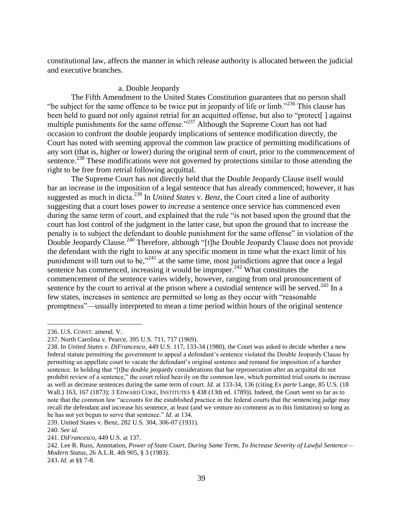constitutional law, affects the manner in which release authority is allocated between the judicial and executive branches.

## a. Double Jeopardy

The Fifth Amendment to the United States Constitution guarantees that no person shall "be subject for the same offence to be twice put in jeopardy of life or limb."<sup>236</sup> This clause has been held to guard not only against retrial for an acquitted offense, but also to "protect[] against multiple punishments for the same offense."<sup>237</sup> Although the Supreme Court has not had occasion to confront the double jeopardy implications of sentence modification directly, the Court has noted with seeming approval the common law practice of permitting modifications of any sort (that is, higher or lower) during the original term of court, prior to the commencement of sentence.<sup>238</sup> These modifications were not governed by protections similar to those attending the right to be free from retrial following acquittal.

The Supreme Court has not directly held that the Double Jeopardy Clause itself would bar an increase in the imposition of a legal sentence that has already commenced; however, it has suggested as much in dicta.<sup>239</sup> In *United States* v. *Benz*, the Court cited a line of authority suggesting that a court loses power to *increase* a sentence once service has commenced even during the same term of court, and explained that the rule "is not based upon the ground that the court has lost control of the judgment in the latter case, but upon the ground that to increase the penalty is to subject the defendant to double punishment for the same offense" in violation of the Double Jeopardy Clause.<sup>240</sup> Therefore, although "[t]he Double Jeopardy Clause does not provide the defendant with the right to know at any specific moment in time what the exact limit of his punishment will turn out to be,"<sup>241</sup> at the same time, most jurisdictions agree that once a legal sentence has commenced, increasing it would be improper.<sup>242</sup> What constitutes the commencement of the sentence varies widely, however, ranging from oral pronouncement of sentence by the court to arrival at the prison where a custodial sentence will be served.<sup>243</sup> In a few states, increases in sentence are permitted so long as they occur with "reasonable promptness"—usually interpreted to mean a time period within hours of the original sentence

239. United States v. Benz, 282 U.S. 304, 306-07 (1931).

<sup>236.</sup> U.S. CONST. amend. V.

<sup>237.</sup> North Carolina v. Pearce, 395 U.S. 711, 717 (1969).

<sup>238.</sup> In *United States v. DiFrancesco*, 449 U.S. 117, 133-34 (1980), the Court was asked to decide whether a new federal statute permitting the government to appeal a defendant"s sentence violated the Double Jeopardy Clause by permitting an appellate court to vacate the defendant"s original sentence and remand for imposition of a harsher sentence. In holding that "[t]he double jeopardy considerations that bar reprosecution after an acquittal do not prohibit review of a sentence," the court relied heavily on the common law, which permitted trial courts to increase as well as decrease sentences during the same term of court. *Id.* at 133-34, 136 (citing *Ex parte* Lange, 85 U.S. (18 Wall.) 163, 167 (1873); 3 EDWARD COKE, INSTITUTES § 438 (13th ed. 1789)). Indeed, the Court went so far as to note that the common law "accounts for the established practice in the federal courts that the sentencing judge may recall the defendant and increase his sentence, at least (and we venture no comment as to this limitation) so long as he has not yet begun to serve that sentence." *Id.* at 134.

<sup>240.</sup> *See id.*

<sup>241.</sup> *DiFrancesco*, 449 U.S. at 137.

<sup>242.</sup> Lee R. Russ, Annotation, *Power of State Court, During Same Term, To Increase Severity of Lawful Sentence— Modern Status*, 26 A.L.R. 4th 905, § 3 (1983).

<sup>243.</sup> *Id.* at §§ 7-8.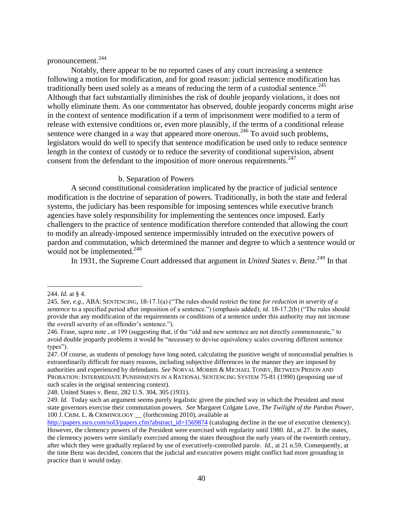## pronouncement.<sup>244</sup>

Notably, there appear to be no reported cases of any court increasing a sentence following a motion for modification, and for good reason: judicial sentence modification has traditionally been used solely as a means of reducing the term of a custodial sentence.<sup>245</sup> Although that fact substantially diminishes the risk of double jeopardy violations, it does not wholly eliminate them. As one commentator has observed, double jeopardy concerns might arise in the context of sentence modification if a term of imprisonment were modified to a term of release with extensive conditions or, even more plausibly, if the terms of a conditional release sentence were changed in a way that appeared more onerous.<sup>246</sup> To avoid such problems, legislators would do well to specify that sentence modification be used only to reduce sentence length in the context of custody or to reduce the severity of conditional supervision, absent consent from the defendant to the imposition of more onerous requirements.<sup>247</sup>

#### b. Separation of Powers

A second constitutional consideration implicated by the practice of judicial sentence modification is the doctrine of separation of powers. Traditionally, in both the state and federal systems, the judiciary has been responsible for imposing sentences while executive branch agencies have solely responsibility for implementing the sentences once imposed. Early challengers to the practice of sentence modification therefore contended that allowing the court to modify an already-imposed sentence impermissibly intruded on the executive powers of pardon and commutation, which determined the manner and degree to which a sentence would or would not be implemented.<sup>248</sup>

In 1931, the Supreme Court addressed that argument in *United States v. Benz*.<sup>249</sup> In that

<sup>244.</sup> *Id.* at § 4.

<sup>245.</sup> *See, e.g.*, ABA: SENTENCING, 18-17.1(a) ("The rules should restrict the time *for reduction in severity of a sentence* to a specified period after imposition of a sentence.") (emphasis added); *id.* 18-17.2(b) ("The rules should provide that any modification of the requirements or conditions of a sentence under this authority may not increase the overall severity of an offender's sentence.").

<sup>246.</sup> Frase, *supra* note , at 199 (suggesting that, if the "old and new sentence are not directly commensurate," to avoid double jeopardy problems it would be "necessary to devise equivalency scales covering different sentence types").

<sup>247.</sup> Of course, as students of penology have long noted, calculating the punitive weight of noncustodial penalties is extraordinarily difficult for many reasons, including subjective differences in the manner they are imposed by authorities and experienced by defendants. *See* NORVAL MORRIS & MICHAEL TONRY, BETWEEN PRISON AND PROBATION: INTERMEDIATE PUNISHMENTS IN A RATIONAL SENTENCING SYSTEM 75-81 (1990) (proposing use of such scales in the original sentencing context).

<sup>248.</sup> United States v. Benz, 282 U.S. 304, 305 (1931).

<sup>249.</sup> *Id.* Today such an argument seems purely legalistic given the pinched way in which the President and most state governors exercise their commutation powers. *See* Margaret Colgate Love, *The Twilight of the Pardon Power*, 100 J. CRIM. L. & CRIMINOLOGY \_\_ (forthcoming 2010), available at

[http://papers.ssrn.com/sol3/papers.cfm?abstract\\_id=1569874](http://papers.ssrn.com/sol3/papers.cfm?abstract_id=1569874) (cataloging decline in the use of executive clemency). However, the clemency powers of the President were exercised with regularity until 1980. *Id.*, at 27. In the states, the clemency powers were similarly exercised among the states throughout the early years of the twentieth century, after which they were gradually replaced by use of executively-controlled parole. *Id.*, at 21 n.59. Consequently, at the time Benz was decided, concern that the judicial and executive powers might conflict had more grounding in practice than it would today.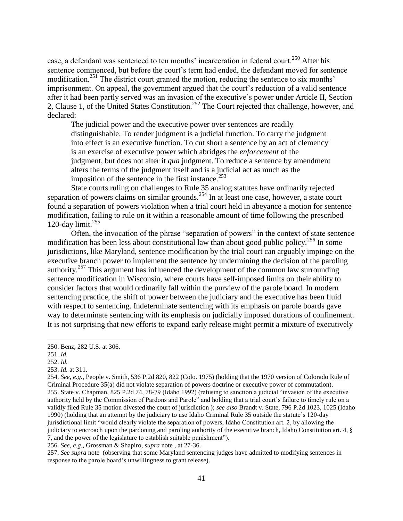case, a defendant was sentenced to ten months' incarceration in federal court.<sup>250</sup> After his sentence commenced, but before the court's term had ended, the defendant moved for sentence modification.<sup>251</sup> The district court granted the motion, reducing the sentence to six months' imprisonment. On appeal, the government argued that the court's reduction of a valid sentence after it had been partly served was an invasion of the executive's power under Article II, Section 2, Clause 1, of the United States Constitution.<sup>252</sup> The Court rejected that challenge, however, and declared:

The judicial power and the executive power over sentences are readily distinguishable. To render judgment is a judicial function. To carry the judgment into effect is an executive function. To cut short a sentence by an act of clemency is an exercise of executive power which abridges the *enforcement* of the judgment, but does not alter it *qua* judgment. To reduce a sentence by amendment alters the terms of the judgment itself and is a judicial act as much as the imposition of the sentence in the first instance.<sup>253</sup>

State courts ruling on challenges to Rule 35 analog statutes have ordinarily rejected separation of powers claims on similar grounds.<sup>254</sup> In at least one case, however, a state court found a separation of powers violation when a trial court held in abeyance a motion for sentence modification, failing to rule on it within a reasonable amount of time following the prescribed 120-day limit. $255$ 

Often, the invocation of the phrase "separation of powers" in the context of state sentence modification has been less about constitutional law than about good public policy.<sup>256</sup> In some jurisdictions, like Maryland, sentence modification by the trial court can arguably impinge on the executive branch power to implement the sentence by undermining the decision of the paroling authority.<sup>257</sup> This argument has influenced the development of the common law surrounding sentence modification in Wisconsin, where courts have self-imposed limits on their ability to consider factors that would ordinarily fall within the purview of the parole board. In modern sentencing practice, the shift of power between the judiciary and the executive has been fluid with respect to sentencing. Indeterminate sentencing with its emphasis on parole boards gave way to determinate sentencing with its emphasis on judicially imposed durations of confinement. It is not surprising that new efforts to expand early release might permit a mixture of executively

 $\overline{a}$ 

256. *See, e.g.*, Grossman & Shapiro, *supra* note , at 27-36.

257. *See supra* note (observing that some Maryland sentencing judges have admitted to modifying sentences in response to the parole board"s unwillingness to grant release).

<sup>250.</sup> Benz, 282 U.S. at 306.

<sup>251.</sup> *Id.*

<sup>252.</sup> *Id.*

<sup>253.</sup> *Id.* at 311.

<sup>254.</sup> *See, e.g.*, People v. Smith, 536 P.2d 820, 822 (Colo. 1975) (holding that the 1970 version of Colorado Rule of Criminal Procedure 35(a) did not violate separation of powers doctrine or executive power of commutation). 255. State v. Chapman, 825 P.2d 74, 78-79 (Idaho 1992) (refusing to sanction a judicial "invasion of the executive authority held by the Commission of Pardons and Parole" and holding that a trial court"s failure to timely rule on a validly filed Rule 35 motion divested the court of jurisdiction ); *see also* Brandt v. State, 796 P.2d 1023, 1025 (Idaho 1990) (holding that an attempt by the judiciary to use Idaho Criminal Rule 35 outside the statute"s 120-day jurisdictional limit "would clearly violate the separation of powers, Idaho Constitution art. 2, by allowing the judiciary to encroach upon the pardoning and paroling authority of the executive branch, Idaho Constitution art. 4, § 7, and the power of the legislature to establish suitable punishment").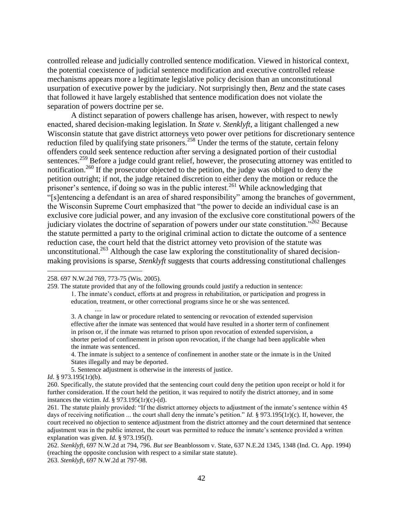controlled release and judicially controlled sentence modification. Viewed in historical context, the potential coexistence of judicial sentence modification and executive controlled release mechanisms appears more a legitimate legislative policy decision than an unconstitutional usurpation of executive power by the judiciary. Not surprisingly then, *Benz* and the state cases that followed it have largely established that sentence modification does not violate the separation of powers doctrine per se.

A distinct separation of powers challenge has arisen, however, with respect to newly enacted, shared decision-making legislation. In *State v. Stenklyft*, a litigant challenged a new Wisconsin statute that gave district attorneys veto power over petitions for discretionary sentence reduction filed by qualifying state prisoners.<sup>258</sup> Under the terms of the statute, certain felony offenders could seek sentence reduction after serving a designated portion of their custodial sentences.<sup>259</sup> Before a judge could grant relief, however, the prosecuting attorney was entitled to notification.<sup>260</sup> If the prosecutor objected to the petition, the judge was obliged to deny the petition outright; if not, the judge retained discretion to either deny the motion or reduce the prisoner's sentence, if doing so was in the public interest.<sup>261</sup> While acknowledging that "[s]entencing a defendant is an area of shared responsibility" among the branches of government, the Wisconsin Supreme Court emphasized that "the power to decide an individual case is an exclusive core judicial power, and any invasion of the exclusive core constitutional powers of the judiciary violates the doctrine of separation of powers under our state constitution."<sup>262</sup> Because the statute permitted a party to the original criminal action to dictate the outcome of a sentence reduction case, the court held that the district attorney veto provision of the statute was unconstitutional.<sup>263</sup> Although the case law exploring the constitutionality of shared decisionmaking provisions is sparse, *Stenklyft* suggests that courts addressing constitutional challenges

....

259. The statute provided that any of the following grounds could justify a reduction in sentence:

1. The inmate"s conduct, efforts at and progress in rehabilitation, or participation and progress in education, treatment, or other correctional programs since he or she was sentenced.

3. A change in law or procedure related to sentencing or revocation of extended supervision effective after the inmate was sentenced that would have resulted in a shorter term of confinement in prison or, if the inmate was returned to prison upon revocation of extended supervision, a shorter period of confinement in prison upon revocation, if the change had been applicable when the inmate was sentenced.

4. The inmate is subject to a sentence of confinement in another state or the inmate is in the United States illegally and may be deported.

5. Sentence adjustment is otherwise in the interests of justice*.* 

*Id.* § 973.195(1r)(b).

 $\overline{a}$ 

260. Specifically, the statute provided that the sentencing court could deny the petition upon receipt or hold it for further consideration. If the court held the petition, it was required to notify the district attorney, and in some instances the victim. *Id.* § 973.195(1r)(c)-(d).

261. The statute plainly provided: "If the district attorney objects to adjustment of the inmate's sentence within 45 days of receiving notification ... the court shall deny the inmate's petition." *Id.* § 973.195(1r)(c). If, however, the court received no objection to sentence adjustment from the district attorney and the court determined that sentence adjustment was in the public interest, the court was permitted to reduce the inmate"s sentence provided a written explanation was given. *Id.* § 973.195(f).

262. *Stenklyft*, 697 N.W.2d at 794, 796. *But see* Beanblossom v. State, 637 N.E.2d 1345, 1348 (Ind. Ct. App. 1994) (reaching the opposite conclusion with respect to a similar state statute). 263. *Stenklyft*, 697 N.W.2d at 797-98.

<sup>258. 697</sup> N.W.2d 769, 773-75 (Wis. 2005).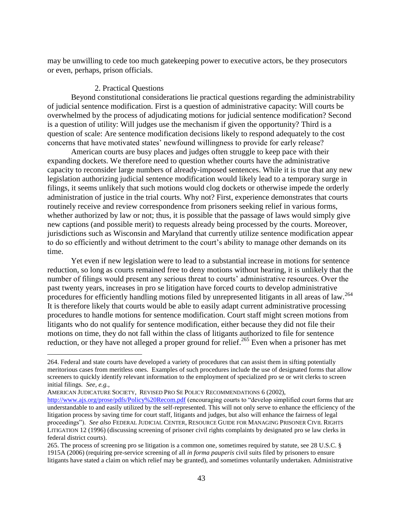may be unwilling to cede too much gatekeeping power to executive actors, be they prosecutors or even, perhaps, prison officials.

#### 2. Practical Questions

Beyond constitutional considerations lie practical questions regarding the administrability of judicial sentence modification. First is a question of administrative capacity: Will courts be overwhelmed by the process of adjudicating motions for judicial sentence modification? Second is a question of utility: Will judges use the mechanism if given the opportunity? Third is a question of scale: Are sentence modification decisions likely to respond adequately to the cost concerns that have motivated states' newfound willingness to provide for early release?

American courts are busy places and judges often struggle to keep pace with their expanding dockets. We therefore need to question whether courts have the administrative capacity to reconsider large numbers of already-imposed sentences. While it is true that any new legislation authorizing judicial sentence modification would likely lead to a temporary surge in filings, it seems unlikely that such motions would clog dockets or otherwise impede the orderly administration of justice in the trial courts. Why not? First, experience demonstrates that courts routinely receive and review correspondence from prisoners seeking relief in various forms, whether authorized by law or not; thus, it is possible that the passage of laws would simply give new captions (and possible merit) to requests already being processed by the courts. Moreover, jurisdictions such as Wisconsin and Maryland that currently utilize sentence modification appear to do so efficiently and without detriment to the court's ability to manage other demands on its time.

Yet even if new legislation were to lead to a substantial increase in motions for sentence reduction, so long as courts remained free to deny motions without hearing, it is unlikely that the number of filings would present any serious threat to courts' administrative resources. Over the past twenty years, increases in pro se litigation have forced courts to develop administrative procedures for efficiently handling motions filed by unrepresented litigants in all areas of law.<sup>264</sup> It is therefore likely that courts would be able to easily adapt current administrative processing procedures to handle motions for sentence modification. Court staff might screen motions from litigants who do not qualify for sentence modification, either because they did not file their motions on time, they do not fall within the class of litigants authorized to file for sentence reduction, or they have not alleged a proper ground for relief.<sup>265</sup> Even when a prisoner has met

AMERICAN JUDICATURE SOCIETY, REVISED PRO SE POLICY RECOMMENDATIONS 6 (2002),

<sup>264.</sup> Federal and state courts have developed a variety of procedures that can assist them in sifting potentially meritorious cases from meritless ones. Examples of such procedures include the use of designated forms that allow screeners to quickly identify relevant information to the employment of specialized pro se or writ clerks to screen initial filings. *See, e.g.,*

<http://www.ajs.org/prose/pdfs/Policy%20Recom.pdf> (encouraging courts to "develop simplified court forms that are understandable to and easily utilized by the self-represented. This will not only serve to enhance the efficiency of the litigation process by saving time for court staff, litigants and judges, but also will enhance the fairness of legal proceedings"). *See also* FEDERAL JUDICIAL CENTER, RESOURCE GUIDE FOR MANAGING PRISONER CIVIL RIGHTS LITIGATION 12 (1996) (discussing screening of prisoner civil rights complaints by designated pro se law clerks in federal district courts).

<sup>265.</sup> The process of screening pro se litigation is a common one, sometimes required by statute, see 28 U.S.C. § 1915A (2006) (requiring pre-service screening of all *in forma pauperis* civil suits filed by prisoners to ensure litigants have stated a claim on which relief may be granted), and sometimes voluntarily undertaken. Administrative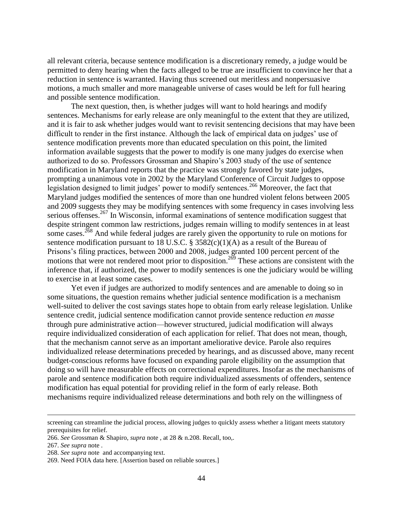all relevant criteria, because sentence modification is a discretionary remedy, a judge would be permitted to deny hearing when the facts alleged to be true are insufficient to convince her that a reduction in sentence is warranted. Having thus screened out meritless and nonpersuasive motions, a much smaller and more manageable universe of cases would be left for full hearing and possible sentence modification.

The next question, then, is whether judges will want to hold hearings and modify sentences. Mechanisms for early release are only meaningful to the extent that they are utilized, and it is fair to ask whether judges would want to revisit sentencing decisions that may have been difficult to render in the first instance. Although the lack of empirical data on judges' use of sentence modification prevents more than educated speculation on this point, the limited information available suggests that the power to modify is one many judges do exercise when authorized to do so. Professors Grossman and Shapiro"s 2003 study of the use of sentence modification in Maryland reports that the practice was strongly favored by state judges, prompting a unanimous vote in 2002 by the Maryland Conference of Circuit Judges to oppose legislation designed to limit judges' power to modify sentences.<sup>266</sup> Moreover, the fact that Maryland judges modified the sentences of more than one hundred violent felons between 2005 and 2009 suggests they may be modifying sentences with some frequency in cases involving less serious offenses.<sup>267</sup> In Wisconsin, informal examinations of sentence modification suggest that despite stringent common law restrictions, judges remain willing to modify sentences in at least some cases.<sup>268</sup> And while federal judges are rarely given the opportunity to rule on motions for sentence modification pursuant to 18 U.S.C. § 3582(c)(1)(A) as a result of the Bureau of Prisons"s filing practices, between 2000 and 2008, judges granted 100 percent percent of the motions that were not rendered moot prior to disposition.<sup>269</sup> These actions are consistent with the inference that, if authorized, the power to modify sentences is one the judiciary would be willing to exercise in at least some cases.

Yet even if judges are authorized to modify sentences and are amenable to doing so in some situations, the question remains whether judicial sentence modification is a mechanism well-suited to deliver the cost savings states hope to obtain from early release legislation. Unlike sentence credit, judicial sentence modification cannot provide sentence reduction *en masse* through pure administrative action—however structured, judicial modification will always require individualized consideration of each application for relief. That does not mean, though, that the mechanism cannot serve as an important ameliorative device. Parole also requires individualized release determinations preceded by hearings, and as discussed above, many recent budget-conscious reforms have focused on expanding parole eligibility on the assumption that doing so will have measurable effects on correctional expenditures. Insofar as the mechanisms of parole and sentence modification both require individualized assessments of offenders, sentence modification has equal potential for providing relief in the form of early release. Both mechanisms require individualized release determinations and both rely on the willingness of

screening can streamline the judicial process, allowing judges to quickly assess whether a litigant meets statutory prerequisites for relief.

<sup>266.</sup> *See* Grossman & Shapiro, *supra* note , at 28 & n.208. Recall, too,.

<sup>267.</sup> *See supra* note .

<sup>268.</sup> *See supra* note and accompanying text.

<sup>269.</sup> Need FOIA data here. [Assertion based on reliable sources.]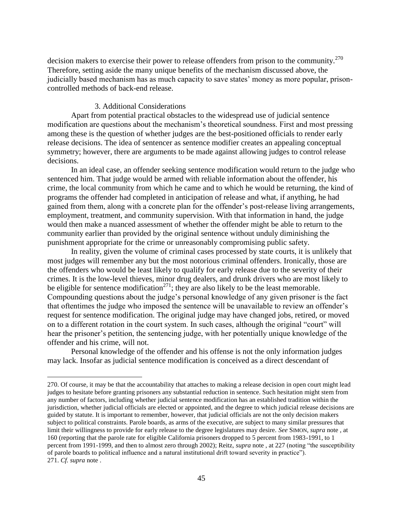decision makers to exercise their power to release offenders from prison to the community.<sup>270</sup> Therefore, setting aside the many unique benefits of the mechanism discussed above, the judicially based mechanism has as much capacity to save states' money as more popular, prisoncontrolled methods of back-end release.

#### 3. Additional Considerations

 $\overline{a}$ 

Apart from potential practical obstacles to the widespread use of judicial sentence modification are questions about the mechanism"s theoretical soundness. First and most pressing among these is the question of whether judges are the best-positioned officials to render early release decisions. The idea of sentencer as sentence modifier creates an appealing conceptual symmetry; however, there are arguments to be made against allowing judges to control release decisions.

In an ideal case, an offender seeking sentence modification would return to the judge who sentenced him. That judge would be armed with reliable information about the offender, his crime, the local community from which he came and to which he would be returning, the kind of programs the offender had completed in anticipation of release and what, if anything, he had gained from them, along with a concrete plan for the offender"s post-release living arrangements, employment, treatment, and community supervision. With that information in hand, the judge would then make a nuanced assessment of whether the offender might be able to return to the community earlier than provided by the original sentence without unduly diminishing the punishment appropriate for the crime or unreasonably compromising public safety.

In reality, given the volume of criminal cases processed by state courts, it is unlikely that most judges will remember any but the most notorious criminal offenders. Ironically, those are the offenders who would be least likely to qualify for early release due to the severity of their crimes. It is the low-level thieves, minor drug dealers, and drunk drivers who are most likely to be eligible for sentence modification<sup>271</sup>; they are also likely to be the least memorable. Compounding questions about the judge"s personal knowledge of any given prisoner is the fact that oftentimes the judge who imposed the sentence will be unavailable to review an offender"s request for sentence modification. The original judge may have changed jobs, retired, or moved on to a different rotation in the court system. In such cases, although the original "court" will hear the prisoner's petition, the sentencing judge, with her potentially unique knowledge of the offender and his crime, will not.

Personal knowledge of the offender and his offense is not the only information judges may lack. Insofar as judicial sentence modification is conceived as a direct descendant of

<sup>270.</sup> Of course, it may be that the accountability that attaches to making a release decision in open court might lead judges to hesitate before granting prisoners any substantial reduction in sentence. Such hesitation might stem from any number of factors, including whether judicial sentence modification has an established tradition within the jurisdiction, whether judicial officials are elected or appointed, and the degree to which judicial release decisions are guided by statute. It is important to remember, however, that judicial officials are not the only decision makers subject to political constraints. Parole boards, as arms of the executive, are subject to many similar pressures that limit their willingness to provide for early release to the degree legislatures may desire. *See* SIMON, *supra* note , at 160 (reporting that the parole rate for eligible California prisoners dropped to 5 percent from 1983-1991, to 1 percent from 1991-1999, and then to almost zero through 2002); Reitz, *supra* note , at 227 (noting "the susceptibility of parole boards to political influence and a natural institutional drift toward severity in practice"). 271. *Cf. supra* note .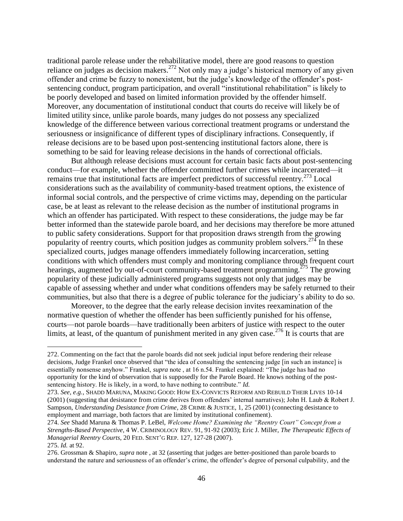traditional parole release under the rehabilitative model, there are good reasons to question reliance on judges as decision makers.<sup>272</sup> Not only may a judge's historical memory of any given offender and crime be fuzzy to nonexistent, but the judge"s knowledge of the offender"s postsentencing conduct, program participation, and overall "institutional rehabilitation" is likely to be poorly developed and based on limited information provided by the offender himself. Moreover, any documentation of institutional conduct that courts do receive will likely be of limited utility since, unlike parole boards, many judges do not possess any specialized knowledge of the difference between various correctional treatment programs or understand the seriousness or insignificance of different types of disciplinary infractions. Consequently, if release decisions are to be based upon post-sentencing institutional factors alone, there is something to be said for leaving release decisions in the hands of correctional officials.

But although release decisions must account for certain basic facts about post-sentencing conduct—for example, whether the offender committed further crimes while incarcerated—it remains true that institutional facts are imperfect predictors of successful reentry.<sup>273</sup> Local considerations such as the availability of community-based treatment options, the existence of informal social controls, and the perspective of crime victims may, depending on the particular case, be at least as relevant to the release decision as the number of institutional programs in which an offender has participated. With respect to these considerations, the judge may be far better informed than the statewide parole board, and her decisions may therefore be more attuned to public safety considerations. Support for that proposition draws strength from the growing popularity of reentry courts, which position judges as community problem solvers.<sup>274</sup> In these specialized courts, judges manage offenders immediately following incarceration, setting conditions with which offenders must comply and monitoring compliance through frequent court hearings, augmented by out-of-court community-based treatment programming.<sup>275</sup> The growing popularity of these judicially administered programs suggests not only that judges may be capable of assessing whether and under what conditions offenders may be safely returned to their communities, but also that there is a degree of public tolerance for the judiciary"s ability to do so.

Moreover, to the degree that the early release decision invites reexamination of the normative question of whether the offender has been sufficiently punished for his offense, courts—not parole boards—have traditionally been arbiters of justice with respect to the outer limits, at least, of the quantum of punishment merited in any given case.<sup>276</sup> It is courts that are

<sup>272.</sup> Commenting on the fact that the parole boards did not seek judicial input before rendering their release decisions, Judge Frankel once observed that "the idea of consulting the sentencing judge [in such an instance] is essentially nonsense anyhow." Frankel, *supra* note , at 16 n.54. Frankel explained: "The judge has had no opportunity for the kind of observation that is supposedly for the Parole Board. He knows nothing of the postsentencing history. He is likely, in a word, to have nothing to contribute." *Id.*

<sup>273.</sup> *See, e.g.*, SHADD MARUNA, MAKING GOOD: HOW EX-CONVICTS REFORM AND REBUILD THEIR LIVES 10-14 (2001) (suggesting that desistance from crime derives from offenders" internal narratives); John H. Laub & Robert J. Sampson, *Understanding Desistance from Crime*, 28 CRIME & JUSTICE, 1, 25 (2001) (connecting desistance to employment and marriage, both factors that are limited by institutional confinement).

<sup>274.</sup> *See* Shadd Maruna & Thomas P. LeBel, *Welcome Home? Examining the "Reentry Court" Concept from a Strengths-Based Perspective*, 4 W. CRIMINOLOGY REV. 91, 91-92 (2003); Eric J. Miller, *The Therapeutic Effects of Managerial Reentry Courts*, 20 FED. SENT"G REP. 127, 127-28 (2007).

<sup>275.</sup> *Id.* at 92.

<sup>276.</sup> Grossman & Shapiro, *supra* note , at 32 (asserting that judges are better-positioned than parole boards to understand the nature and seriousness of an offender"s crime, the offender"s degree of personal culpability, and the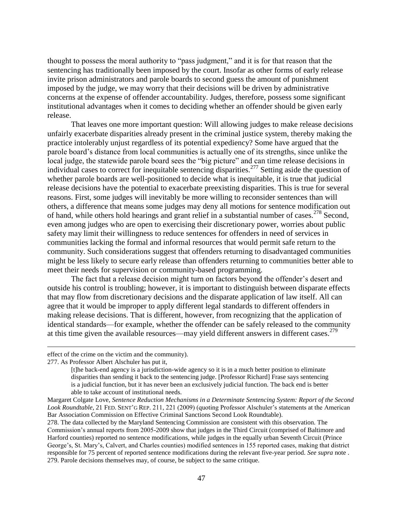thought to possess the moral authority to "pass judgment," and it is for that reason that the sentencing has traditionally been imposed by the court. Insofar as other forms of early release invite prison administrators and parole boards to second guess the amount of punishment imposed by the judge, we may worry that their decisions will be driven by administrative concerns at the expense of offender accountability. Judges, therefore, possess some significant institutional advantages when it comes to deciding whether an offender should be given early release.

That leaves one more important question: Will allowing judges to make release decisions unfairly exacerbate disparities already present in the criminal justice system, thereby making the practice intolerably unjust regardless of its potential expediency? Some have argued that the parole board"s distance from local communities is actually one of its strengths, since unlike the local judge, the statewide parole board sees the "big picture" and can time release decisions in individual cases to correct for inequitable sentencing disparities.<sup>277</sup> Setting aside the question of whether parole boards are well-positioned to decide what is inequitable, it is true that judicial release decisions have the potential to exacerbate preexisting disparities. This is true for several reasons. First, some judges will inevitably be more willing to reconsider sentences than will others, a difference that means some judges may deny all motions for sentence modification out of hand, while others hold hearings and grant relief in a substantial number of cases.<sup>278</sup> Second, even among judges who are open to exercising their discretionary power, worries about public safety may limit their willingness to reduce sentences for offenders in need of services in communities lacking the formal and informal resources that would permit safe return to the community. Such considerations suggest that offenders returning to disadvantaged communities might be less likely to secure early release than offenders returning to communities better able to meet their needs for supervision or community-based programming.

The fact that a release decision might turn on factors beyond the offender"s desert and outside his control is troubling; however, it is important to distinguish between disparate effects that may flow from discretionary decisions and the disparate application of law itself. All can agree that it would be improper to apply different legal standards to different offenders in making release decisions. That is different, however, from recognizing that the application of identical standards—for example, whether the offender can be safely released to the community at this time given the available resources—may yield different answers in different cases.<sup>279</sup>

effect of the crime on the victim and the community).

277. As Professor Albert Alschuler has put it,

<sup>[</sup>t]he back-end agency is a jurisdiction-wide agency so it is in a much better position to eliminate disparities than sending it back to the sentencing judge. [Professor Richard] Frase says sentencing is a judicial function, but it has never been an exclusively judicial function. The back end is better able to take account of institutional needs.

Margaret Colgate Love, *Sentence Reduction Mechanisms in a Determinate Sentencing System: Report of the Second Look Roundtable*, 21 FED. SENT"G REP. 211, 221 (2009) (quoting Professor Alschuler"s statements at the American Bar Association Commission on Effective Criminal Sanctions Second Look Roundtable).

<sup>278.</sup> The data collected by the Maryland Sentencing Commission are consistent with this observation. The Commission"s annual reports from 2005-2009 show that judges in the Third Circuit (comprised of Baltimore and Harford counties) reported no sentence modifications, while judges in the equally urban Seventh Circuit (Prince George's, St. Mary's, Calvert, and Charles counties) modified sentences in 155 reported cases, making that district responsible for 75 percent of reported sentence modifications during the relevant five-year period. *See supra* note . 279. Parole decisions themselves may, of course, be subject to the same critique.